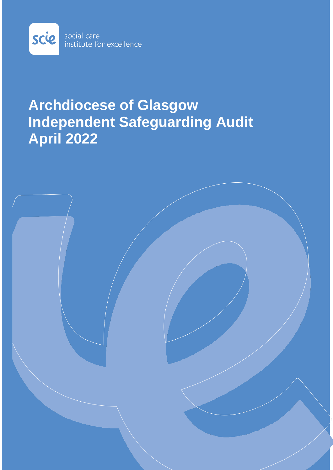

# **Archdiocese of Glasgow Independent Safeguarding Audit April 2022**

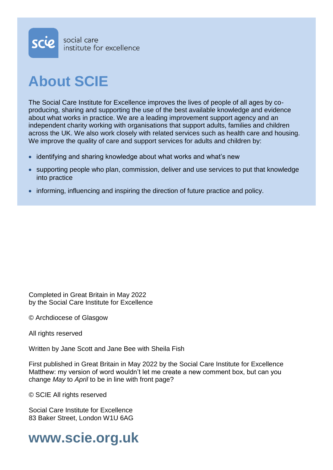

# **About SCIE**

The Social Care Institute for Excellence improves the lives of people of all ages by coproducing, sharing and supporting the use of the best available knowledge and evidence about what works in practice. We are a leading improvement support agency and an independent charity working with organisations that support adults, families and children across the UK. We also work closely with related services such as health care and housing. We improve the quality of care and support services for adults and children by:

- identifying and sharing knowledge about what works and what's new
- supporting people who plan, commission, deliver and use services to put that knowledge into practice
- informing, influencing and inspiring the direction of future practice and policy.

Completed in Great Britain in May 2022 by the Social Care Institute for Excellence

© Archdiocese of Glasgow

All rights reserved

Written by Jane Scott and Jane Bee with Sheila Fish

First published in Great Britain in May 2022 by the Social Care Institute for Excellence Matthew: my version of word wouldn't let me create a new comment box, but can you change *May* to *April* to be in line with front page?

© SCIE All rights reserved

Social Care Institute for Excellence 83 Baker Street, London W1U 6AG

**www.scie.org.uk**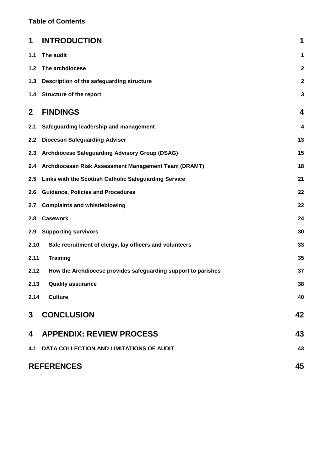### **Table of Contents**

| 1           | <b>INTRODUCTION</b>                                           | 1            |
|-------------|---------------------------------------------------------------|--------------|
| 1.1         | The audit                                                     | 1            |
| 1.2         | The archdiocese                                               | $\mathbf{2}$ |
| 1.3         | Description of the safeguarding structure                     | $\mathbf{2}$ |
| 1.4         | <b>Structure of the report</b>                                | $\mathbf{3}$ |
| $\mathbf 2$ | <b>FINDINGS</b>                                               | 4            |
| 2.1         | Safeguarding leadership and management                        | 4            |
| 2.2         | <b>Diocesan Safeguarding Adviser</b>                          | 13           |
| 2.3         | Archdiocese Safeguarding Advisory Group (DSAG)                | 15           |
| 2.4         | Archdiocesan Risk Assessment Management Team (DRAMT)          | 18           |
| 2.5         | Links with the Scottish Catholic Safeguarding Service         | 21           |
| 2.6         | <b>Guidance, Policies and Procedures</b>                      | 22           |
| 2.7         | <b>Complaints and whistleblowing</b>                          | 22           |
| 2.8         | <b>Casework</b>                                               | 24           |
| 2.9         | <b>Supporting survivors</b>                                   | 30           |
| 2.10        | Safe recruitment of clergy, lay officers and volunteers       | 33           |
| 2.11        | <b>Training</b>                                               | 35           |
| 2.12        | How the Archdiocese provides safeguarding support to parishes | 37           |
| 2.13        | <b>Quality assurance</b>                                      | 38           |
| 2.14        | <b>Culture</b>                                                | 40           |
| 3           | <b>CONCLUSION</b>                                             | 42           |
| 4           | <b>APPENDIX: REVIEW PROCESS</b>                               | 43           |
|             | 4.1 DATA COLLECTION AND LIMITATIONS OF AUDIT                  | 43           |
|             | <b>REFERENCES</b><br>45                                       |              |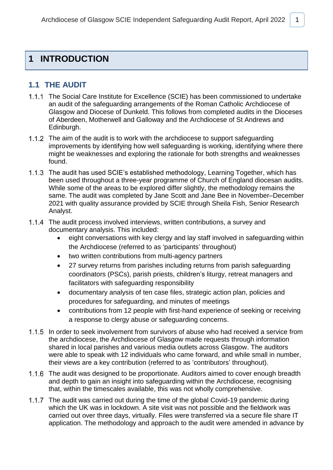## <span id="page-3-0"></span>**1 INTRODUCTION**

### <span id="page-3-1"></span>**1.1 THE AUDIT**

- 1.1.1 The Social Care Institute for Excellence (SCIE) has been commissioned to undertake an audit of the safeguarding arrangements of the Roman Catholic Archdiocese of Glasgow and Diocese of Dunkeld. This follows from completed audits in the Dioceses of Aberdeen, Motherwell and Galloway and the Archdiocese of St Andrews and Edinburgh.
- 1.1.2 The aim of the audit is to work with the archdiocese to support safeguarding improvements by identifying how well safeguarding is working, identifying where there might be weaknesses and exploring the rationale for both strengths and weaknesses found.
- 1.1.3 The audit has used SCIE's established methodology, Learning Together, which has been used throughout a three-year programme of Church of England diocesan audits. While some of the areas to be explored differ slightly, the methodology remains the same. The audit was completed by Jane Scott and Jane Bee in November–December 2021 with quality assurance provided by SCIE through Sheila Fish, Senior Research Analyst.
- 1.1.4 The audit process involved interviews, written contributions, a survey and documentary analysis. This included:
	- eight conversations with key clergy and lay staff involved in safeguarding within the Archdiocese (referred to as 'participants' throughout)
	- two written contributions from multi-agency partners
	- 27 survey returns from parishes including returns from parish safeguarding coordinators (PSCs), parish priests, children's liturgy, retreat managers and facilitators with safeguarding responsibility
	- documentary analysis of ten case files, strategic action plan, policies and procedures for safeguarding, and minutes of meetings
	- contributions from 12 people with first-hand experience of seeking or receiving a response to clergy abuse or safeguarding concerns.
- 1.1.5 In order to seek involvement from survivors of abuse who had received a service from the archdiocese, the Archdiocese of Glasgow made requests through information shared in local parishes and various media outlets across Glasgow. The auditors were able to speak with 12 individuals who came forward, and while small in number, their views are a key contribution (referred to as 'contributors' throughout).
- 1.1.6 The audit was designed to be proportionate. Auditors aimed to cover enough breadth and depth to gain an insight into safeguarding within the Archdiocese, recognising that, within the timescales available, this was not wholly comprehensive.
- 1.1.7 The audit was carried out during the time of the global Covid-19 pandemic during which the UK was in lockdown. A site visit was not possible and the fieldwork was carried out over three days, virtually. Files were transferred via a secure file share IT application. The methodology and approach to the audit were amended in advance by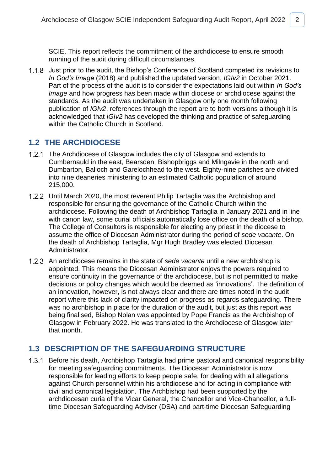SCIE. This report reflects the commitment of the archdiocese to ensure smooth running of the audit during difficult circumstances.

1.1.8 Just prior to the audit, the Bishop's Conference of Scotland competed its revisions to *In God's Image* (2018) and published the updated version, *IGIv2* in October 2021. Part of the process of the audit is to consider the expectations laid out within *In God's Image* and how progress has been made within diocese or archdiocese against the standards. As the audit was undertaken in Glasgow only one month following publication of *IGIv2*, references through the report are to both versions although it is acknowledged that *IGIv2* has developed the thinking and practice of safeguarding within the Catholic Church in Scotland.

### <span id="page-4-0"></span>**1.2 THE ARCHDIOCESE**

- 1.2.1 The Archdiocese of Glasgow includes the city of Glasgow and extends to Cumbernauld in the east, Bearsden, Bishopbriggs and Milngavie in the north and Dumbarton, Balloch and Garelochhead to the west. Eighty-nine parishes are divided into nine deaneries ministering to an estimated Catholic population of around 215,000.
- 1.2.2 Until March 2020, the most reverent Philip Tartaglia was the Archbishop and responsible for ensuring the governance of the Catholic Church within the archdiocese. Following the death of Archbishop Tartaglia in January 2021 and in line with canon law, some curial officials automatically lose office on the death of a bishop. The College of Consultors is responsible for electing any priest in the diocese to assume the office of Diocesan Administrator during the period of *sede vacante*. On the death of Archbishop Tartaglia, Mgr Hugh Bradley was elected Diocesan Administrator.
- An archdiocese remains in the state of *sede vacante* until a new archbishop is appointed. This means the Diocesan Administrator enjoys the powers required to ensure continuity in the governance of the archdiocese, but is not permitted to make decisions or policy changes which would be deemed as 'innovations'. The definition of an innovation, however, is not always clear and there are times noted in the audit report where this lack of clarity impacted on progress as regards safeguarding. There was no archbishop in place for the duration of the audit, but just as this report was being finalised, Bishop Nolan was appointed by Pope Francis as the Archbishop of Glasgow in February 2022. He was translated to the Archdiocese of Glasgow later that month.

### <span id="page-4-1"></span>**1.3 DESCRIPTION OF THE SAFEGUARDING STRUCTURE**

1.3.1 Before his death, Archbishop Tartaglia had prime pastoral and canonical responsibility for meeting safeguarding commitments. The Diocesan Administrator is now responsible for leading efforts to keep people safe, for dealing with all allegations against Church personnel within his archdiocese and for acting in compliance with civil and canonical legislation. The Archbishop had been supported by the archdiocesan curia of the Vicar General, the Chancellor and Vice-Chancellor, a fulltime Diocesan Safeguarding Adviser (DSA) and part-time Diocesan Safeguarding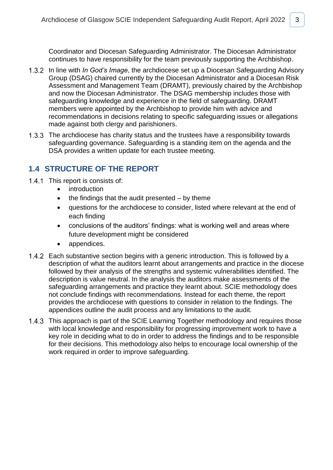Coordinator and Diocesan Safeguarding Administrator. The Diocesan Administrator continues to have responsibility for the team previously supporting the Archbishop.

- 1.3.2 In line with *In God's Image*, the archdiocese set up a Diocesan Safeguarding Advisory Group (DSAG) chaired currently by the Diocesan Administrator and a Diocesan Risk Assessment and Management Team (DRAMT), previously chaired by the Archbishop and now the Diocesan Administrator. The DSAG membership includes those with safeguarding knowledge and experience in the field of safeguarding. DRAMT members were appointed by the Archbishop to provide him with advice and recommendations in decisions relating to specific safeguarding issues or allegations made against both clergy and parishioners.
- 1.3.3 The archdiocese has charity status and the trustees have a responsibility towards safeguarding governance. Safeguarding is a standing item on the agenda and the DSA provides a written update for each trustee meeting.

### <span id="page-5-0"></span>**1.4 STRUCTURE OF THE REPORT**

- 1.4.1 This report is consists of:
	- introduction
	- $\bullet$  the findings that the audit presented by theme
	- questions for the archdiocese to consider, listed where relevant at the end of each finding
	- conclusions of the auditors' findings: what is working well and areas where future development might be considered
	- appendices.
- 1.4.2 Each substantive section begins with a generic introduction. This is followed by a description of what the auditors learnt about arrangements and practice in the diocese followed by their analysis of the strengths and systemic vulnerabilities identified. The description is value neutral. In the analysis the auditors make assessments of the safeguarding arrangements and practice they learnt about. SCIE methodology does not conclude findings with recommendations. Instead for each theme, the report provides the archdiocese with questions to consider in relation to the findings. The appendices outline the audit process and any limitations to the audit.
- 1.4.3 This approach is part of the SCIE Learning Together methodology and requires those with local knowledge and responsibility for progressing improvement work to have a key role in deciding what to do in order to address the findings and to be responsible for their decisions. This methodology also helps to encourage local ownership of the work required in order to improve safeguarding.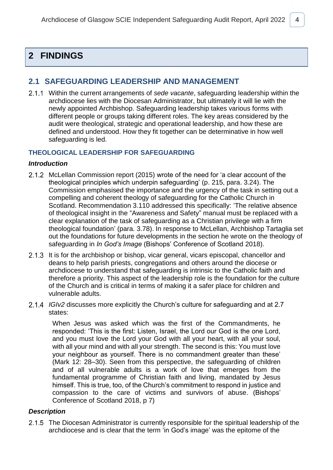# <span id="page-6-0"></span>**2 FINDINGS**

### <span id="page-6-1"></span>**2.1 SAFEGUARDING LEADERSHIP AND MANAGEMENT**

Within the current arrangements of *sede vacante*, safeguarding leadership within the archdiocese lies with the Diocesan Administrator, but ultimately it will lie with the newly appointed Archbishop. Safeguarding leadership takes various forms with different people or groups taking different roles. The key areas considered by the audit were theological, strategic and operational leadership, and how these are defined and understood. How they fit together can be determinative in how well safeguarding is led.

### **THEOLOGICAL LEADERSHIP FOR SAFEGUARDING**

### *Introduction*

- 2.1.2 McLellan Commission report (2015) wrote of the need for 'a clear account of the theological principles which underpin safeguarding' (p. 215, para. 3.24). The Commission emphasised the importance and the urgency of the task in setting out a compelling and coherent theology of safeguarding for the Catholic Church in Scotland. Recommendation 3.110 addressed this specifically: 'The relative absence of theological insight in the "Awareness and Safety" manual must be replaced with a clear explanation of the task of safeguarding as a Christian privilege with a firm theological foundation' (para. 3.78). In response to McLellan, Archbishop Tartaglia set out the foundations for future developments in the section he wrote on the theology of safeguarding in *In God's Image* (Bishops' Conference of Scotland 2018).
- 2.1.3 It is for the archbishop or bishop, vicar general, vicars episcopal, chancellor and deans to help parish priests, congregations and others around the diocese or archdiocese to understand that safeguarding is intrinsic to the Catholic faith and therefore a priority. This aspect of the leadership role is the foundation for the culture of the Church and is critical in terms of making it a safer place for children and vulnerable adults.
- *IGIv2* discusses more explicitly the Church's culture for safeguarding and at 2.7 states:

When Jesus was asked which was the first of the Commandments, he responded: 'This is the first: Listen, Israel, the Lord our God is the one Lord, and you must love the Lord your God with all your heart, with all your soul, with all your mind and with all your strength. The second is this: You must love your neighbour as yourself. There is no commandment greater than these' (Mark 12: 28–30). Seen from this perspective, the safeguarding of children and of all vulnerable adults is a work of love that emerges from the fundamental programme of Christian faith and living, mandated by Jesus himself. This is true, too, of the Church's commitment to respond in justice and compassion to the care of victims and survivors of abuse. (Bishops' Conference of Scotland 2018, p 7)

### *Description*

2.1.5 The Diocesan Administrator is currently responsible for the spiritual leadership of the archdiocese and is clear that the term 'in God's image' was the epitome of the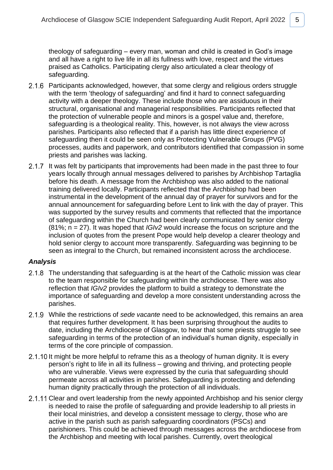theology of safeguarding – every man, woman and child is created in God's image and all have a right to live life in all its fullness with love, respect and the virtues praised as Catholics. Participating clergy also articulated a clear theology of safeguarding.

- 2.1.6 Participants acknowledged, however, that some clergy and religious orders struggle with the term 'theology of safeguarding' and find it hard to connect safeguarding activity with a deeper theology. These include those who are assiduous in their structural, organisational and managerial responsibilities. Participants reflected that the protection of vulnerable people and minors is a gospel value and, therefore, safeguarding is a theological reality. This, however, is not always the view across parishes. Participants also reflected that if a parish has little direct experience of safeguarding then it could be seen only as Protecting Vulnerable Groups (PVG) processes, audits and paperwork, and contributors identified that compassion in some priests and parishes was lacking.
- 2.1.7 It was felt by participants that improvements had been made in the past three to four years locally through annual messages delivered to parishes by Archbishop Tartaglia before his death. A message from the Archbishop was also added to the national training delivered locally. Participants reflected that the Archbishop had been instrumental in the development of the annual day of prayer for survivors and for the annual announcement for safeguarding before Lent to link with the day of prayer. This was supported by the survey results and comments that reflected that the importance of safeguarding within the Church had been clearly communicated by senior clergy (81%; n = 27). It was hoped that *IGIv2* would increase the focus on scripture and the inclusion of quotes from the present Pope would help develop a clearer theology and hold senior clergy to account more transparently. Safeguarding was beginning to be seen as integral to the Church, but remained inconsistent across the archdiocese.

- 2.1.8 The understanding that safeguarding is at the heart of the Catholic mission was clear to the team responsible for safeguarding within the archdiocese. There was also reflection that *IGIv2* provides the platform to build a strategy to demonstrate the importance of safeguarding and develop a more consistent understanding across the parishes.
- While the restrictions of *sede vacante* need to be acknowledged, this remains an area that requires further development. It has been surprising throughout the audits to date, including the Archdiocese of Glasgow, to hear that some priests struggle to see safeguarding in terms of the protection of an individual's human dignity, especially in terms of the core principle of compassion.
- 2.1.10 It might be more helpful to reframe this as a theology of human dignity. It is every person's right to life in all its fullness – growing and thriving, and protecting people who are vulnerable. Views were expressed by the curia that safeguarding should permeate across all activities in parishes. Safeguarding is protecting and defending human dignity practically through the protection of all individuals.
- 2.1.11 Clear and overt leadership from the newly appointed Archbishop and his senior clergy is needed to raise the profile of safeguarding and provide leadership to all priests in their local ministries, and develop a consistent message to clergy, those who are active in the parish such as parish safeguarding coordinators (PSCs) and parishioners. This could be achieved through messages across the archdiocese from the Archbishop and meeting with local parishes. Currently, overt theological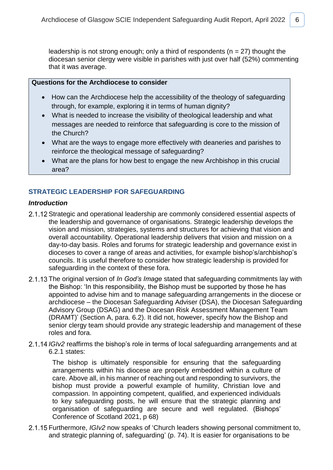leadership is not strong enough; only a third of respondents ( $n = 27$ ) thought the diocesan senior clergy were visible in parishes with just over half (52%) commenting that it was average.

### **Questions for the Archdiocese to consider**

- How can the Archdiocese help the accessibility of the theology of safeguarding through, for example, exploring it in terms of human dignity?
- What is needed to increase the visibility of theological leadership and what messages are needed to reinforce that safeguarding is core to the mission of the Church?
- What are the ways to engage more effectively with deaneries and parishes to reinforce the theological message of safeguarding?
- What are the plans for how best to engage the new Archbishop in this crucial area?

### **STRATEGIC LEADERSHIP FOR SAFEGUARDING**

### *Introduction*

- 2.1.12 Strategic and operational leadership are commonly considered essential aspects of the leadership and governance of organisations. Strategic leadership develops the vision and mission, strategies, systems and structures for achieving that vision and overall accountability. Operational leadership delivers that vision and mission on a day-to-day basis. Roles and forums for strategic leadership and governance exist in dioceses to cover a range of areas and activities, for example bishop's/archbishop's councils. It is useful therefore to consider how strategic leadership is provided for safeguarding in the context of these fora.
- 2.1.13 The original version of *In God's Image* stated that safeguarding commitments lay with the Bishop: 'In this responsibility, the Bishop must be supported by those he has appointed to advise him and to manage safeguarding arrangements in the diocese or archdiocese – the Diocesan Safeguarding Adviser (DSA), the Diocesan Safeguarding Advisory Group (DSAG) and the Diocesan Risk Assessment Management Team (DRAMT)' (Section A, para. 6.2). It did not, however, specify how the Bishop and senior clergy team should provide any strategic leadership and management of these roles and fora.
- 2.1.14 *IGIv2* reaffirms the bishop's role in terms of local safeguarding arrangements and at 6.2.1 states:

The bishop is ultimately responsible for ensuring that the safeguarding arrangements within his diocese are properly embedded within a culture of care. Above all, in his manner of reaching out and responding to survivors, the bishop must provide a powerful example of humility, Christian love and compassion. In appointing competent, qualified, and experienced individuals to key safeguarding posts, he will ensure that the strategic planning and organisation of safeguarding are secure and well regulated. (Bishops' Conference of Scotland 2021, p 68)

Furthermore, *IGIv2* now speaks of 'Church leaders showing personal commitment to, and strategic planning of, safeguarding' (p. 74). It is easier for organisations to be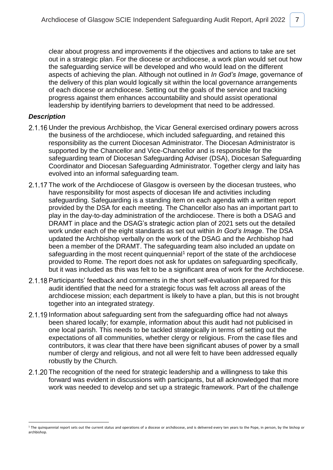clear about progress and improvements if the objectives and actions to take are set out in a strategic plan. For the diocese or archdiocese, a work plan would set out how the safeguarding service will be developed and who would lead on the different aspects of achieving the plan. Although not outlined in *In God's Image*, governance of the delivery of this plan would logically sit within the local governance arrangements of each diocese or archdiocese. Setting out the goals of the service and tracking progress against them enhances accountability and should assist operational leadership by identifying barriers to development that need to be addressed.

### *Description*

1

- 2.1.16 Under the previous Archbishop, the Vicar General exercised ordinary powers across the business of the archdiocese, which included safeguarding, and retained this responsibility as the current Diocesan Administrator. The Diocesan Administrator is supported by the Chancellor and Vice-Chancellor and is responsible for the safeguarding team of Diocesan Safeguarding Adviser (DSA), Diocesan Safeguarding Coordinator and Diocesan Safeguarding Administrator. Together clergy and laity has evolved into an informal safeguarding team.
- 2.1.17 The work of the Archdiocese of Glasgow is overseen by the diocesan trustees, who have responsibility for most aspects of diocesan life and activities including safeguarding. Safeguarding is a standing item on each agenda with a written report provided by the DSA for each meeting. The Chancellor also has an important part to play in the day-to-day administration of the archdiocese. There is both a DSAG and DRAMT in place and the DSAG's strategic action plan of 2021 sets out the detailed work under each of the eight standards as set out within *In God's Image*. The DSA updated the Archbishop verbally on the work of the DSAG and the Archbishop had been a member of the DRAMT. The safeguarding team also included an update on safeguarding in the most recent quinquennial<sup>1</sup> report of the state of the archdiocese provided to Rome. The report does not ask for updates on safeguarding specifically, but it was included as this was felt to be a significant area of work for the Archdiocese.
- 2.1.18 Participants' feedback and comments in the short self-evaluation prepared for this audit identified that the need for a strategic focus was felt across all areas of the archdiocese mission; each department is likely to have a plan, but this is not brought together into an integrated strategy.
- 2.1.19 Information about safeguarding sent from the safeguarding office had not always been shared locally; for example, information about this audit had not publicised in one local parish. This needs to be tackled strategically in terms of setting out the expectations of all communities, whether clergy or religious. From the case files and contributors, it was clear that there have been significant abuses of power by a small number of clergy and religious, and not all were felt to have been addressed equally robustly by the Church.
- 2.1.20 The recognition of the need for strategic leadership and a willingness to take this forward was evident in discussions with participants, but all acknowledged that more work was needed to develop and set up a strategic framework. Part of the challenge

<sup>&</sup>lt;sup>1</sup> The quinquennial report sets out the current status and operations of a diocese or archdiocese, and is delivered every ten years to the Pope, in person, by the bishop or archbishop.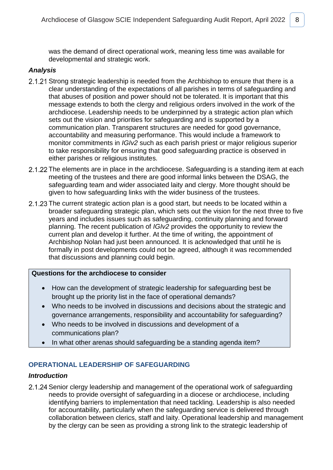was the demand of direct operational work, meaning less time was available for developmental and strategic work.

### *Analysis*

- 2.1.21 Strong strategic leadership is needed from the Archbishop to ensure that there is a clear understanding of the expectations of all parishes in terms of safeguarding and that abuses of position and power should not be tolerated. It is important that this message extends to both the clergy and religious orders involved in the work of the archdiocese. Leadership needs to be underpinned by a strategic action plan which sets out the vision and priorities for safeguarding and is supported by a communication plan. Transparent structures are needed for good governance, accountability and measuring performance. This would include a framework to monitor commitments in *IGIv2* such as each parish priest or major religious superior to take responsibility for ensuring that good safeguarding practice is observed in either parishes or religious institutes.
- 2.1.22 The elements are in place in the archdiocese. Safeguarding is a standing item at each meeting of the trustees and there are good informal links between the DSAG, the safeguarding team and wider associated laity and clergy. More thought should be given to how safeguarding links with the wider business of the trustees.
- 2.1.23 The current strategic action plan is a good start, but needs to be located within a broader safeguarding strategic plan, which sets out the vision for the next three to five years and includes issues such as safeguarding, continuity planning and forward planning. The recent publication of *IGIv2* provides the opportunity to review the current plan and develop it further. At the time of writing, the appointment of Archbishop Nolan had just been announced. It is acknowledged that until he is formally in post developments could not be agreed, although it was recommended that discussions and planning could begin.

### **Questions for the archdiocese to consider**

- How can the development of strategic leadership for safeguarding best be brought up the priority list in the face of operational demands?
- Who needs to be involved in discussions and decisions about the strategic and governance arrangements, responsibility and accountability for safeguarding?
- Who needs to be involved in discussions and development of a communications plan?
- In what other arenas should safeguarding be a standing agenda item?

### **OPERATIONAL LEADERSHIP OF SAFEGUARDING**

### *Introduction*

2.1.24 Senior clergy leadership and management of the operational work of safeguarding needs to provide oversight of safeguarding in a diocese or archdiocese, including identifying barriers to implementation that need tackling. Leadership is also needed for accountability, particularly when the safeguarding service is delivered through collaboration between clerics, staff and laity. Operational leadership and management by the clergy can be seen as providing a strong link to the strategic leadership of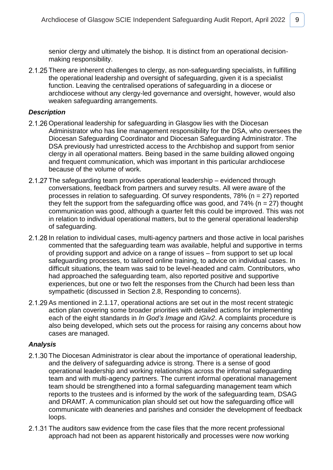senior clergy and ultimately the bishop. It is distinct from an operational decisionmaking responsibility.

2.1.25 There are inherent challenges to clergy, as non-safeguarding specialists, in fulfilling the operational leadership and oversight of safeguarding, given it is a specialist function. Leaving the centralised operations of safeguarding in a diocese or archdiocese without any clergy-led governance and oversight, however, would also weaken safeguarding arrangements.

### *Description*

- 2.1.26 Operational leadership for safeguarding in Glasgow lies with the Diocesan Administrator who has line management responsibility for the DSA, who oversees the Diocesan Safeguarding Coordinator and Diocesan Safeguarding Administrator. The DSA previously had unrestricted access to the Archbishop and support from senior clergy in all operational matters. Being based in the same building allowed ongoing and frequent communication, which was important in this particular archdiocese because of the volume of work.
- 2.1.27 The safeguarding team provides operational leadership evidenced through conversations, feedback from partners and survey results. All were aware of the processes in relation to safeguarding. Of survey respondents,  $78\%$  (n = 27) reported they felt the support from the safeguarding office was good, and  $74\%$  (n = 27) thought communication was good, although a quarter felt this could be improved. This was not in relation to individual operational matters, but to the general operational leadership of safeguarding.
- 2.1.28 In relation to individual cases, multi-agency partners and those active in local parishes commented that the safeguarding team was available, helpful and supportive in terms of providing support and advice on a range of issues – from support to set up local safeguarding processes, to tailored online training, to advice on individual cases. In difficult situations, the team was said to be level-headed and calm. Contributors, who had approached the safeguarding team, also reported positive and supportive experiences, but one or two felt the responses from the Church had been less than sympathetic (discussed in Section 2.8, Responding to concerns).
- 2.1.29 As mentioned in 2.1.17, operational actions are set out in the most recent strategic action plan covering some broader priorities with detailed actions for implementing each of the eight standards in *In God's Image* and *IGIv2*. A complaints procedure is also being developed, which sets out the process for raising any concerns about how cases are managed.

- 2.1.30 The Diocesan Administrator is clear about the importance of operational leadership, and the delivery of safeguarding advice is strong. There is a sense of good operational leadership and working relationships across the informal safeguarding team and with multi-agency partners. The current informal operational management team should be strengthened into a formal safeguarding management team which reports to the trustees and is informed by the work of the safeguarding team, DSAG and DRAMT. A communication plan should set out how the safeguarding office will communicate with deaneries and parishes and consider the development of feedback loops.
- 2.1.31 The auditors saw evidence from the case files that the more recent professional approach had not been as apparent historically and processes were now working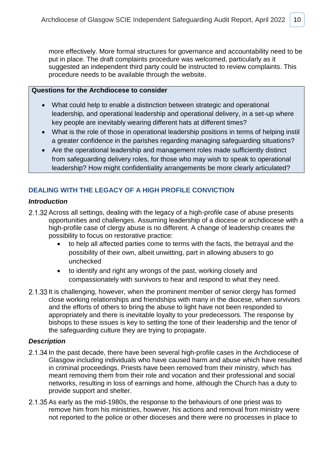more effectively. More formal structures for governance and accountability need to be put in place. The draft complaints procedure was welcomed, particularly as it suggested an independent third party could be instructed to review complaints. This procedure needs to be available through the website.

### **Questions for the Archdiocese to consider**

- What could help to enable a distinction between strategic and operational leadership, and operational leadership and operational delivery, in a set-up where key people are inevitably wearing different hats at different times?
- What is the role of those in operational leadership positions in terms of helping instil a greater confidence in the parishes regarding managing safeguarding situations?
- Are the operational leadership and management roles made sufficiently distinct from safeguarding delivery roles, for those who may wish to speak to operational leadership? How might confidentiality arrangements be more clearly articulated?

### **DEALING WITH THE LEGACY OF A HIGH PROFILE CONVICTION**

### *Introduction*

- 2.1.32 Across all settings, dealing with the legacy of a high-profile case of abuse presents opportunities and challenges. Assuming leadership of a diocese or archdiocese with a high-profile case of clergy abuse is no different. A change of leadership creates the possibility to focus on restorative practice:
	- to help all affected parties come to terms with the facts, the betrayal and the possibility of their own, albeit unwitting, part in allowing abusers to go unchecked
	- to identify and right any wrongs of the past, working closely and compassionately with survivors to hear and respond to what they need.
- 2.1.33 It is challenging, however, when the prominent member of senior clergy has formed close working relationships and friendships with many in the diocese, when survivors and the efforts of others to bring the abuse to light have not been responded to appropriately and there is inevitable loyalty to your predecessors. The response by bishops to these issues is key to setting the tone of their leadership and the tenor of the safeguarding culture they are trying to propagate.

### *Description*

- 2.1.34 In the past decade, there have been several high-profile cases in the Archdiocese of Glasgow including individuals who have caused harm and abuse which have resulted in criminal proceedings. Priests have been removed from their ministry, which has meant removing them from their role and vocation and their professional and social networks, resulting in loss of earnings and home, although the Church has a duty to provide support and shelter.
- 2.1.35 As early as the mid-1980s, the response to the behaviours of one priest was to remove him from his ministries, however, his actions and removal from ministry were not reported to the police or other dioceses and there were no processes in place to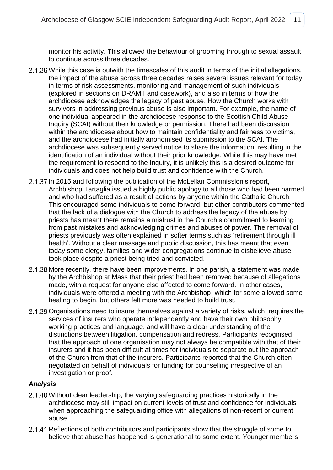monitor his activity. This allowed the behaviour of grooming through to sexual assault to continue across three decades.

- 2.1.36 While this case is outwith the timescales of this audit in terms of the initial allegations, the impact of the abuse across three decades raises several issues relevant for today in terms of risk assessments, monitoring and management of such individuals (explored in sections on DRAMT and casework), and also in terms of how the archdiocese acknowledges the legacy of past abuse. How the Church works with survivors in addressing previous abuse is also important. For example, the name of one individual appeared in the archdiocese response to the Scottish Child Abuse Inquiry (SCAI) without their knowledge or permission. There had been discussion within the archdiocese about how to maintain confidentiality and fairness to victims, and the archdiocese had initially anonomised its submission to the SCAI. The archdiocese was subsequently served notice to share the information, resulting in the identification of an individual without their prior knowledge. While this may have met the requirement to respond to the Inquiry, it is unlikely this is a desired outcome for individuals and does not help build trust and confidence with the Church.
- 2.1.37 In 2015 and following the publication of the McLellan Commission's report, Archbishop Tartaglia issued a highly public apology to all those who had been harmed and who had suffered as a result of actions by anyone within the Catholic Church. This encouraged some individuals to come forward, but other contributors commented that the lack of a dialogue with the Church to address the legacy of the abuse by priests has meant there remains a mistrust in the Church's commitment to learning from past mistakes and acknowledging crimes and abuses of power. The removal of priests previously was often explained in softer terms such as 'retirement through ill health'. Without a clear message and public discussion, this has meant that even today some clergy, families and wider congregations continue to disbelieve abuse took place despite a priest being tried and convicted.
- 2.1.38 More recently, there have been improvements. In one parish, a statement was made by the Archbishop at Mass that their priest had been removed because of allegations made, with a request for anyone else affected to come forward. In other cases, individuals were offered a meeting with the Archbishop, which for some allowed some healing to begin, but others felt more was needed to build trust.
- 2.1.39 Organisations need to insure themselves against a variety of risks, which requires the services of insurers who operate independently and have their own philosophy, working practices and language, and will have a clear understanding of the distinctions between litigation, compensation and redress. Participants recognised that the approach of one organisation may not always be compatible with that of their insurers and it has been difficult at times for individuals to separate out the approach of the Church from that of the insurers. Participants reported that the Church often negotiated on behalf of individuals for funding for counselling irrespective of an investigation or proof.

- 2.1.40 Without clear leadership, the varying safeguarding practices historically in the archdiocese may still impact on current levels of trust and confidence for individuals when approaching the safeguarding office with allegations of non-recent or current abuse.
- 2.1.41 Reflections of both contributors and participants show that the struggle of some to believe that abuse has happened is generational to some extent. Younger members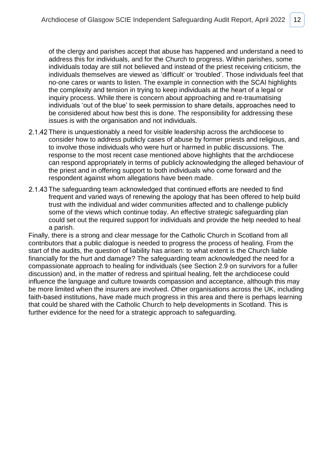of the clergy and parishes accept that abuse has happened and understand a need to address this for individuals, and for the Church to progress. Within parishes, some individuals today are still not believed and instead of the priest receiving criticism, the individuals themselves are viewed as 'difficult' or 'troubled'. Those individuals feel that no-one cares or wants to listen. The example in connection with the SCAI highlights the complexity and tension in trying to keep individuals at the heart of a legal or inquiry process. While there is concern about approaching and re-traumatising individuals 'out of the blue' to seek permission to share details, approaches need to be considered about how best this is done. The responsibility for addressing these issues is with the organisation and not individuals.

- 2.1.42 There is unquestionably a need for visible leadership across the archdiocese to consider how to address publicly cases of abuse by former priests and religious, and to involve those individuals who were hurt or harmed in public discussions. The response to the most recent case mentioned above highlights that the archdiocese can respond appropriately in terms of publicly acknowledging the alleged behaviour of the priest and in offering support to both individuals who come forward and the respondent against whom allegations have been made.
- 2.1.43 The safeguarding team acknowledged that continued efforts are needed to find frequent and varied ways of renewing the apology that has been offered to help build trust with the individual and wider communities affected and to challenge publicly some of the views which continue today. An effective strategic safeguarding plan could set out the required support for individuals and provide the help needed to heal a parish.

Finally, there is a strong and clear message for the Catholic Church in Scotland from all contributors that a public dialogue is needed to progress the process of healing. From the start of the audits, the question of liability has arisen: to what extent is the Church liable financially for the hurt and damage? The safeguarding team acknowledged the need for a compassionate approach to healing for individuals (see Section 2.9 on survivors for a fuller discussion) and, in the matter of redress and spiritual healing, felt the archdiocese could influence the language and culture towards compassion and acceptance, although this may be more limited when the insurers are involved. Other organisations across the UK, including faith-based institutions, have made much progress in this area and there is perhaps learning that could be shared with the Catholic Church to help developments in Scotland. This is further evidence for the need for a strategic approach to safeguarding.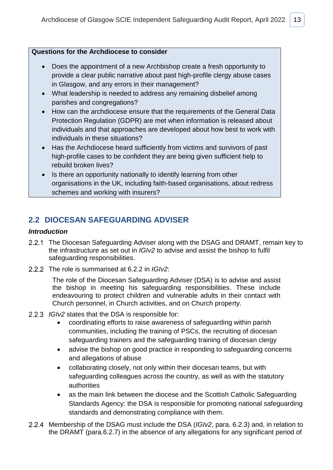### **Questions for the Archdiocese to consider**

- Does the appointment of a new Archbishop create a fresh opportunity to provide a clear public narrative about past high-profile clergy abuse cases in Glasgow, and any errors in their management?
- What leadership is needed to address any remaining disbelief among parishes and congregations?
- How can the archdiocese ensure that the requirements of the General Data Protection Regulation (GDPR) are met when information is released about individuals and that approaches are developed about how best to work with individuals in these situations?
- Has the Archdiocese heard sufficiently from victims and survivors of past high-profile cases to be confident they are being given sufficient help to rebuild broken lives?
- Is there an opportunity nationally to identify learning from other organisations in the UK, including faith-based organisations, about redress schemes and working with insurers?

## <span id="page-15-0"></span>**2.2 DIOCESAN SAFEGUARDING ADVISER**

### *Introduction*

- 2.2.1 The Diocesan Safeguarding Adviser along with the DSAG and DRAMT, remain key to the infrastructure as set out in *IGIv2* to advise and assist the bishop to fulfil safeguarding responsibilities.
- 2.2.2 The role is summarised at 6.2.2 in *IGIv2*:

The role of the Diocesan Safeguarding Adviser (DSA) is to advise and assist the bishop in meeting his safeguarding responsibilities. These include endeavouring to protect children and vulnerable adults in their contact with Church personnel, in Church activities, and on Church property.

- *IGIv2* states that the DSA is responsible for:
	- coordinating efforts to raise awareness of safeguarding within parish communities, including the training of PSCs, the recruiting of diocesan safeguarding trainers and the safeguarding training of diocesan clergy
	- advise the bishop on good practice in responding to safeguarding concerns and allegations of abuse
	- collaborating closely, not only within their diocesan teams, but with safeguarding colleagues across the country, as well as with the statutory authorities
	- as the main link between the diocese and the Scottish Catholic Safeguarding Standards Agency: the DSA is responsible for promoting national safeguarding standards and demonstrating compliance with them.
- Membership of the DSAG must include the DSA (*IGIv2*, para. 6.2.3) and, in relation to the DRAMT (para.6.2.7) in the absence of any allegations for any significant period of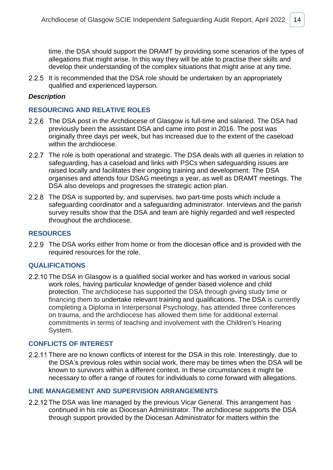time, the DSA should support the DRAMT by providing some scenarios of the types of allegations that might arise. In this way they will be able to practise their skills and develop their understanding of the complex situations that might arise at any time.

2.2.5 It is recommended that the DSA role should be undertaken by an appropriately qualified and experienced layperson.

#### *Description*

### **RESOURCING AND RELATIVE ROLES**

- 2.2.6 The DSA post in the Archdiocese of Glasgow is full-time and salaried. The DSA had previously been the assistant DSA and came into post in 2016. The post was originally three days per week, but has increased due to the extent of the caseload within the archdiocese.
- 2.2.7 The role is both operational and strategic. The DSA deals with all queries in relation to safeguarding, has a caseload and links with PSCs when safeguarding issues are raised locally and facilitates their ongoing training and development. The DSA organises and attends four DSAG meetings a year, as well as DRAMT meetings. The DSA also develops and progresses the strategic action plan.
- 2.2.8 The DSA is supported by, and supervises, two part-time posts which include a safeguarding coordinator and a safeguarding administrator. Interviews and the parish survey results show that the DSA and team are highly regarded and well respected throughout the archdiocese.

#### **RESOURCES**

2.2.9 The DSA works either from home or from the diocesan office and is provided with the required resources for the role.

#### **QUALIFICATIONS**

2.2.10 The DSA in Glasgow is a qualified social worker and has worked in various social work roles, having particular knowledge of gender based violence and child protection. The archdiocese has supported the DSA through giving study time or financing them to undertake relevant training and qualifications. The DSA is currently completing a Diploma in Interpersonal Psychology, has attended three conferences on trauma, and the archdiocese has allowed them time for additional external commitments in terms of teaching and involvement with the Children's Hearing System.

#### **CONFLICTS OF INTEREST**

2.2.11 There are no known conflicts of interest for the DSA in this role. Interestingly, due to the DSA's previous roles within social work, there may be times when the DSA will be known to survivors within a different context. In these circumstances it might be necessary to offer a range of routes for individuals to come forward with allegations.

### **LINE MANAGEMENT AND SUPERVISION ARRANGEMENTS**

2.2.12 The DSA was line managed by the previous Vicar General. This arrangement has continued in his role as Diocesan Administrator. The archdiocese supports the DSA through support provided by the Diocesan Administrator for matters within the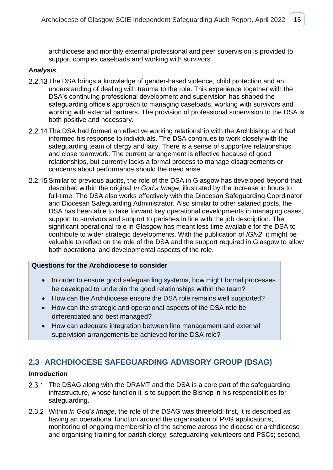archdiocese and monthly external professional and peer supervision is provided to support complex caseloads and working with survivors.

### *Analysis*

- 2.2.13 The DSA brings a knowledge of gender-based violence, child protection and an understanding of dealing with trauma to the role. This experience together with the DSA's continuing professional development and supervision has shaped the safeguarding office's approach to managing caseloads, working with survivors and working with external partners. The provision of professional supervision to the DSA is both positive and necessary.
- 2.2.14 The DSA had formed an effective working relationship with the Archbishop and had informed his response to individuals. The DSA continues to work closely with the safeguarding team of clergy and laity. There is a sense of supportive relationships and close teamwork. The current arrangement is effective because of good relationships, but currently lacks a formal process to manage disagreements or concerns about performance should the need arise.
- 2.2.15 Similar to previous audits, the role of the DSA in Glasgow has developed beyond that described within the original *In God's Image*, illustrated by the increase in hours to full-time. The DSA also works effectively with the Diocesan Safeguarding Coordinator and Diocesan Safeguarding Administrator. Also similar to other salaried posts, the DSA has been able to take forward key operational developments in managing cases, support to survivors and support to parishes in line with the job description. The significant operational role in Glasgow has meant less time available for the DSA to contribute to wider strategic developments. With the publication of *IGIv2*, it might be valuable to reflect on the role of the DSA and the support required in Glasgow to allow both operational and developmental aspects of the role.

### **Questions for the Archdiocese to consider**

- In order to ensure good safeguarding systems, how might formal processes be developed to underpin the good relationships within the team?
- How can the Archdiocese ensure the DSA role remains well supported?
- How can the strategic and operational aspects of the DSA role be differentiated and best managed?
- How can adequate integration between line management and external supervision arrangements be achieved for the DSA role?

### <span id="page-17-0"></span>**2.3 ARCHDIOCESE SAFEGUARDING ADVISORY GROUP (DSAG)**

### *Introduction*

- 2.3.1 The DSAG along with the DRAMT and the DSA is a core part of the safeguarding infrastructure, whose function it is to support the Bishop in his responsibilities for safeguarding.
- 2.3.2 Within *In God's Image*, the role of the DSAG was threefold: first, it is described as having an operational function around the organisation of PVG applications, monitoring of ongoing membership of the scheme across the diocese or archdiocese and organising training for parish clergy, safeguarding volunteers and PSCs; second,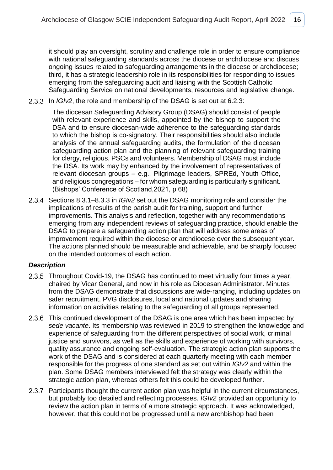it should play an oversight, scrutiny and challenge role in order to ensure compliance with national safeguarding standards across the diocese or archdiocese and discuss ongoing issues related to safeguarding arrangements in the diocese or archdiocese; third, it has a strategic leadership role in its responsibilities for responding to issues emerging from the safeguarding audit and liaising with the Scottish Catholic Safeguarding Service on national developments, resources and legislative change.

2.3.3 In *IGIv2*, the role and membership of the DSAG is set out at 6.2.3:

The diocesan Safeguarding Advisory Group (DSAG) should consist of people with relevant experience and skills, appointed by the bishop to support the DSA and to ensure diocesan-wide adherence to the safeguarding standards to which the bishop is co-signatory. Their responsibilities should also include analysis of the annual safeguarding audits, the formulation of the diocesan safeguarding action plan and the planning of relevant safeguarding training for clergy, religious, PSCs and volunteers. Membership of DSAG must include the DSA. Its work may by enhanced by the involvement of representatives of relevant diocesan groups – e.g., Pilgrimage leaders, SPREd, Youth Office, and religious congregations – for whom safeguarding is particularly significant. (Bishops' Conference of Scotland,2021, p 68)

2.3.4 Sections 8.3.1–8.3.3 in *IGIv2* set out the DSAG monitoring role and consider the implications of results of the parish audit for training, support and further improvements. This analysis and reflection, together with any recommendations emerging from any independent reviews of safeguarding practice, should enable the DSAG to prepare a safeguarding action plan that will address some areas of improvement required within the diocese or archdiocese over the subsequent year. The actions planned should be measurable and achievable, and be sharply focused on the intended outcomes of each action.

### *Description*

- 2.3.5 Throughout Covid-19, the DSAG has continued to meet virtually four times a year, chaired by Vicar General, and now in his role as Diocesan Administrator. Minutes from the DSAG demonstrate that discussions are wide-ranging, including updates on safer recruitment, PVG disclosures, local and national updates and sharing information on activities relating to the safeguarding of all groups represented.
- 2.3.6 This continued development of the DSAG is one area which has been impacted by *sede vacante*. Its membership was reviewed in 2019 to strengthen the knowledge and experience of safeguarding from the different perspectives of social work, criminal justice and survivors, as well as the skills and experience of working with survivors, quality assurance and ongoing self-evaluation. The strategic action plan supports the work of the DSAG and is considered at each quarterly meeting with each member responsible for the progress of one standard as set out within *IGIv2* and within the plan. Some DSAG members interviewed felt the strategy was clearly within the strategic action plan, whereas others felt this could be developed further.
- 2.3.7 Participants thought the current action plan was helpful in the current circumstances, but probably too detailed and reflecting processes. *IGIv2* provided an opportunity to review the action plan in terms of a more strategic approach. It was acknowledged, however, that this could not be progressed until a new archbishop had been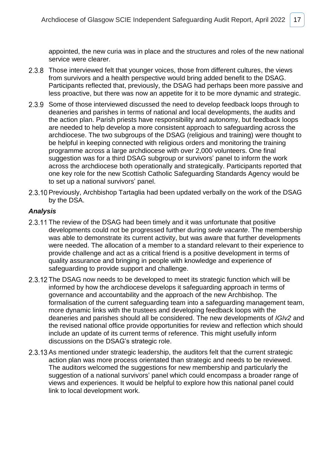appointed, the new curia was in place and the structures and roles of the new national service were clearer.

- 2.3.8 Those interviewed felt that younger voices, those from different cultures, the views from survivors and a health perspective would bring added benefit to the DSAG. Participants reflected that, previously, the DSAG had perhaps been more passive and less proactive, but there was now an appetite for it to be more dynamic and strategic.
- 2.3.9 Some of those interviewed discussed the need to develop feedback loops through to deaneries and parishes in terms of national and local developments, the audits and the action plan. Parish priests have responsibility and autonomy, but feedback loops are needed to help develop a more consistent approach to safeguarding across the archdiocese. The two subgroups of the DSAG (religious and training) were thought to be helpful in keeping connected with religious orders and monitoring the training programme across a large archdiocese with over 2,000 volunteers. One final suggestion was for a third DSAG subgroup or survivors' panel to inform the work across the archdiocese both operationally and strategically. Participants reported that one key role for the new Scottish Catholic Safeguarding Standards Agency would be to set up a national survivors' panel.
- 2.3.10 Previously, Archbishop Tartaglia had been updated verbally on the work of the DSAG by the DSA.

- 2.3.11 The review of the DSAG had been timely and it was unfortunate that positive developments could not be progressed further during *sede vacante*. The membership was able to demonstrate its current activity, but was aware that further developments were needed. The allocation of a member to a standard relevant to their experience to provide challenge and act as a critical friend is a positive development in terms of quality assurance and bringing in people with knowledge and experience of safeguarding to provide support and challenge.
- 2.3.12 The DSAG now needs to be developed to meet its strategic function which will be informed by how the archdiocese develops it safeguarding approach in terms of governance and accountability and the approach of the new Archbishop. The formalisation of the current safeguarding team into a safeguarding management team, more dynamic links with the trustees and developing feedback loops with the deaneries and parishes should all be considered. The new developments of *IGIv2* and the revised national office provide opportunities for review and reflection which should include an update of its current terms of reference. This might usefully inform discussions on the DSAG's strategic role.
- 2.3.13 As mentioned under strategic leadership, the auditors felt that the current strategic action plan was more process orientated than strategic and needs to be reviewed. The auditors welcomed the suggestions for new membership and particularly the suggestion of a national survivors' panel which could encompass a broader range of views and experiences. It would be helpful to explore how this national panel could link to local development work.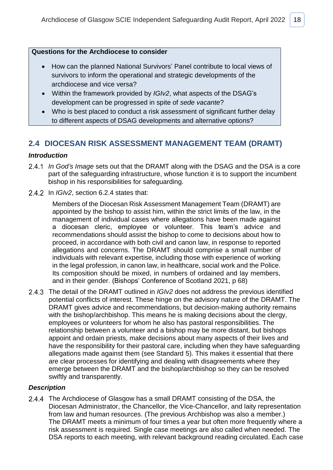### **Questions for the Archdiocese to consider**

- How can the planned National Survivors' Panel contribute to local views of survivors to inform the operational and strategic developments of the archdiocese and vice versa?
- Within the framework provided by *IGIv2*, what aspects of the DSAG's development can be progressed in spite of *sede vacante*?
- Who is best placed to conduct a risk assessment of significant further delay to different aspects of DSAG developments and alternative options?

### <span id="page-20-0"></span>**2.4 DIOCESAN RISK ASSESSMENT MANAGEMENT TEAM (DRAMT)**

### *Introduction*

- *In God's Image* sets out that the DRAMT along with the DSAG and the DSA is a core part of the safeguarding infrastructure, whose function it is to support the incumbent bishop in his responsibilities for safeguarding.
- 2.4.2 In *IGIv2*, section 6.2.4 states that:

Members of the Diocesan Risk Assessment Management Team (DRAMT) are appointed by the bishop to assist him, within the strict limits of the law, in the management of individual cases where allegations have been made against a diocesan cleric, employee or volunteer. This team's advice and recommendations should assist the bishop to come to decisions about how to proceed, in accordance with both civil and canon law, in response to reported allegations and concerns. The DRAMT should comprise a small number of individuals with relevant expertise, including those with experience of working in the legal profession, in canon law, in healthcare, social work and the Police. Its composition should be mixed, in numbers of ordained and lay members, and in their gender. (Bishops' Conference of Scotland 2021, p 68)

The detail of the DRAMT outlined in *IGIv2* does not address the previous identified potential conflicts of interest. These hinge on the advisory nature of the DRAMT. The DRAMT gives advice and recommendations, but decision-making authority remains with the bishop/archbishop. This means he is making decisions about the clergy, employees or volunteers for whom he also has pastoral responsibilities. The relationship between a volunteer and a bishop may be more distant, but bishops appoint and ordain priests, make decisions about many aspects of their lives and have the responsibility for their pastoral care, including when they have safeguarding allegations made against them (see Standard 5). This makes it essential that there are clear processes for identifying and dealing with disagreements where they emerge between the DRAMT and the bishop/archbishop so they can be resolved swiftly and transparently.

### *Description*

2.4.4 The Archdiocese of Glasgow has a small DRAMT consisting of the DSA, the Diocesan Administrator, the Chancellor, the Vice-Chancellor, and laity representation from law and human resources. (The previous Archbishop was also a member.) The DRAMT meets a minimum of four times a year but often more frequently where a risk assessment is required. Single case meetings are also called when needed. The DSA reports to each meeting, with relevant background reading circulated. Each case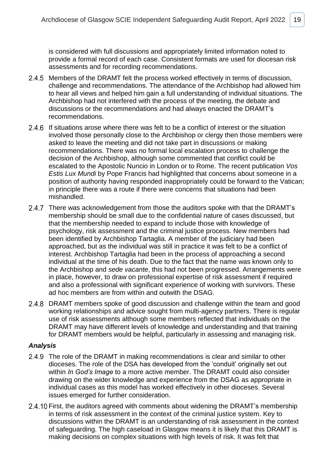is considered with full discussions and appropriately limited information noted to provide a formal record of each case. Consistent formats are used for diocesan risk assessments and for recording recommendations.

- 2.4.5 Members of the DRAMT felt the process worked effectively in terms of discussion, challenge and recommendations. The attendance of the Archbishop had allowed him to hear all views and helped him gain a full understanding of individual situations. The Archbishop had not interfered with the process of the meeting, the debate and discussions or the recommendations and had always enacted the DRAMT's recommendations.
- 2.4.6 If situations arose where there was felt to be a conflict of interest or the situation involved those personally close to the Archbishop or clergy then those members were asked to leave the meeting and did not take part in discussions or making recommendations. There was no formal local escalation process to challenge the decision of the Archbishop, although some commented that conflict could be escalated to the Apostolic Nuncio in London or to Rome. The recent publication *Vos Estis Lux Mundi* by Pope Francis had highlighted that concerns about someone in a position of authority having responded inappropriately could be forward to the Vatican; in principle there was a route if there were concerns that situations had been mishandled.
- 2.4.7 There was acknowledgement from those the auditors spoke with that the DRAMT's membership should be small due to the confidential nature of cases discussed, but that the membership needed to expand to include those with knowledge of psychology, risk assessment and the criminal justice process. New members had been identified by Archbishop Tartaglia. A member of the judiciary had been approached, but as the individual was still in practice it was felt to be a conflict of interest. Archbishop Tartaglia had been in the process of approaching a second individual at the time of his death. Due to the fact that the name was known only to the Archbishop and *sede vacante*, this had not been progressed. Arrangements were in place, however, to draw on professional expertise of risk assessment if required and also a professional with significant experience of working with survivors. These ad hoc members are from within and outwith the DSAG.
- 2.4.8 DRAMT members spoke of good discussion and challenge within the team and good working relationships and advice sought from multi-agency partners. There is regular use of risk assessments although some members reflected that individuals on the DRAMT may have different levels of knowledge and understanding and that training for DRAMT members would be helpful, particularly in assessing and managing risk.

- 2.4.9 The role of the DRAMT in making recommendations is clear and similar to other dioceses. The role of the DSA has developed from the 'conduit' originally set out within *In God's Image* to a more active member. The DRAMT could also consider drawing on the wider knowledge and experience from the DSAG as appropriate in individual cases as this model has worked effectively in other dioceses. Several issues emerged for further consideration.
- 2.4.10 First, the auditors agreed with comments about widening the DRAMT's membership in terms of risk assessment in the context of the criminal justice system. Key to discussions within the DRAMT is an understanding of risk assessment in the context of safeguarding. The high caseload in Glasgow means it is likely that this DRAMT is making decisions on complex situations with high levels of risk. It was felt that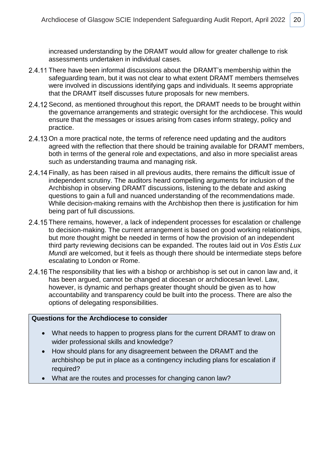increased understanding by the DRAMT would allow for greater challenge to risk assessments undertaken in individual cases.

- 2.4.11 There have been informal discussions about the DRAMT's membership within the safeguarding team, but it was not clear to what extent DRAMT members themselves were involved in discussions identifying gaps and individuals. It seems appropriate that the DRAMT itself discusses future proposals for new members.
- 2.4.12 Second, as mentioned throughout this report, the DRAMT needs to be brought within the governance arrangements and strategic oversight for the archdiocese. This would ensure that the messages or issues arising from cases inform strategy, policy and practice.
- 2.4.13 On a more practical note, the terms of reference need updating and the auditors agreed with the reflection that there should be training available for DRAMT members, both in terms of the general role and expectations, and also in more specialist areas such as understanding trauma and managing risk.
- 2.4.14 Finally, as has been raised in all previous audits, there remains the difficult issue of independent scrutiny. The auditors heard compelling arguments for inclusion of the Archbishop in observing DRAMT discussions, listening to the debate and asking questions to gain a full and nuanced understanding of the recommendations made. While decision-making remains with the Archbishop then there is justification for him being part of full discussions.
- 2.4.15 There remains, however, a lack of independent processes for escalation or challenge to decision-making. The current arrangement is based on good working relationships, but more thought might be needed in terms of how the provision of an independent third party reviewing decisions can be expanded. The routes laid out in *Vos Estis Lux Mundi* are welcomed, but it feels as though there should be intermediate steps before escalating to London or Rome.
- 2.4.16 The responsibility that lies with a bishop or archbishop is set out in canon law and, it has been argued, cannot be changed at diocesan or archdiocesan level. Law, however, is dynamic and perhaps greater thought should be given as to how accountability and transparency could be built into the process. There are also the options of delegating responsibilities.

#### **Questions for the Archdiocese to consider**

- What needs to happen to progress plans for the current DRAMT to draw on wider professional skills and knowledge?
- How should plans for any disagreement between the DRAMT and the archbishop be put in place as a contingency including plans for escalation if required?
- What are the routes and processes for changing canon law?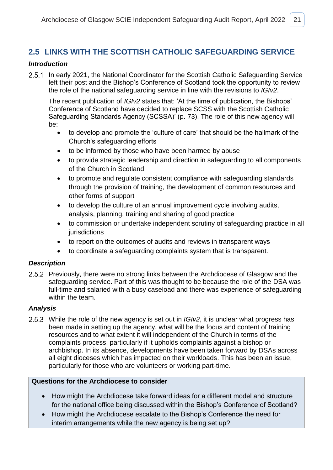### <span id="page-23-0"></span>**2.5 LINKS WITH THE SCOTTISH CATHOLIC SAFEGUARDING SERVICE**

### *Introduction*

2.5.1 In early 2021, the National Coordinator for the Scottish Catholic Safeguarding Service left their post and the Bishop's Conference of Scotland took the opportunity to review the role of the national safeguarding service in line with the revisions to *IGIv2*.

The recent publication of *IGIv2* states that: 'At the time of publication, the Bishops' Conference of Scotland have decided to replace SCSS with the Scottish Catholic Safeguarding Standards Agency (SCSSA)' (p. 73). The role of this new agency will be:

- to develop and promote the 'culture of care' that should be the hallmark of the Church's safeguarding efforts
- to be informed by those who have been harmed by abuse
- to provide strategic leadership and direction in safeguarding to all components of the Church in Scotland
- to promote and regulate consistent compliance with safeguarding standards through the provision of training, the development of common resources and other forms of support
- to develop the culture of an annual improvement cycle involving audits, analysis, planning, training and sharing of good practice
- to commission or undertake independent scrutiny of safeguarding practice in all jurisdictions
- to report on the outcomes of audits and reviews in transparent ways
- to coordinate a safeguarding complaints system that is transparent.

### *Description*

2.5.2 Previously, there were no strong links between the Archdiocese of Glasgow and the safeguarding service. Part of this was thought to be because the role of the DSA was full-time and salaried with a busy caseload and there was experience of safeguarding within the team.

### *Analysis*

While the role of the new agency is set out in *IGIv2*, it is unclear what progress has been made in setting up the agency, what will be the focus and content of training resources and to what extent it will independent of the Church in terms of the complaints process, particularly if it upholds complaints against a bishop or archbishop. In its absence, developments have been taken forward by DSAs across all eight dioceses which has impacted on their workloads. This has been an issue, particularly for those who are volunteers or working part-time.

### **Questions for the Archdiocese to consider**

- How might the Archdiocese take forward ideas for a different model and structure for the national office being discussed within the Bishop's Conference of Scotland?
- How might the Archdiocese escalate to the Bishop's Conference the need for interim arrangements while the new agency is being set up?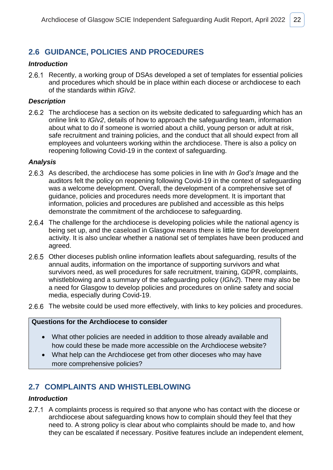### <span id="page-24-0"></span>**2.6 GUIDANCE, POLICIES AND PROCEDURES**

### *Introduction*

2.6.1 Recently, a working group of DSAs developed a set of templates for essential policies and procedures which should be in place within each diocese or archdiocese to each of the standards within *IGIv2*.

### *Description*

2.6.2 The archdiocese has a section on its website dedicated to safeguarding which has an online link to *IGIv2*, details of how to approach the safeguarding team, information about what to do if someone is worried about a child, young person or adult at risk, safe recruitment and training policies, and the conduct that all should expect from all employees and volunteers working within the archdiocese. There is also a policy on reopening following Covid-19 in the context of safeguarding.

#### *Analysis*

- As described, the archdiocese has some policies in line with *In God's Image* and the auditors felt the policy on reopening following Covid-19 in the context of safeguarding was a welcome development. Overall, the development of a comprehensive set of guidance, policies and procedures needs more development. It is important that information, policies and procedures are published and accessible as this helps demonstrate the commitment of the archdiocese to safeguarding.
- 2.6.4 The challenge for the archdiocese is developing policies while the national agency is being set up, and the caseload in Glasgow means there is little time for development activity. It is also unclear whether a national set of templates have been produced and agreed.
- 2.6.5 Other dioceses publish online information leaflets about safeguarding, results of the annual audits, information on the importance of supporting survivors and what survivors need, as well procedures for safe recruitment, training, GDPR, complaints, whistleblowing and a summary of the safeguarding policy (*IGIv2*). There may also be a need for Glasgow to develop policies and procedures on online safety and social media, especially during Covid-19.
- 2.6.6 The website could be used more effectively, with links to key policies and procedures.

### **Questions for the Archdiocese to consider**

- What other policies are needed in addition to those already available and how could these be made more accessible on the Archdiocese website?
- What help can the Archdiocese get from other dioceses who may have more comprehensive policies?

### <span id="page-24-1"></span>**2.7 COMPLAINTS AND WHISTLEBLOWING**

### *Introduction*

2.7.1 A complaints process is required so that anyone who has contact with the diocese or archdiocese about safeguarding knows how to complain should they feel that they need to. A strong policy is clear about who complaints should be made to, and how they can be escalated if necessary. Positive features include an independent element,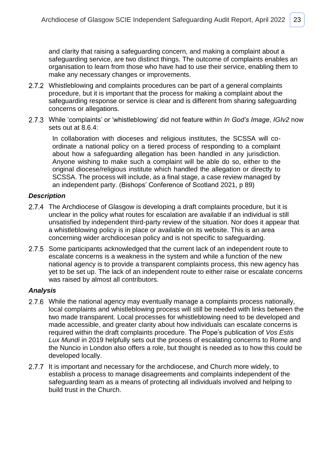and clarity that raising a safeguarding concern, and making a complaint about a safeguarding service, are two distinct things. The outcome of complaints enables an organisation to learn from those who have had to use their service, enabling them to make any necessary changes or improvements.

- 2.7.2 Whistleblowing and complaints procedures can be part of a general complaints procedure, but it is important that the process for making a complaint about the safeguarding response or service is clear and is different from sharing safeguarding concerns or allegations.
- While 'complaints' or 'whistleblowing' did not feature within *In God's Image*, *IGIv2* now sets out at 8.6.4:

In collaboration with dioceses and religious institutes, the SCSSA will coordinate a national policy on a tiered process of responding to a complaint about how a safeguarding allegation has been handled in any jurisdiction. Anyone wishing to make such a complaint will be able do so, either to the original diocese/religious institute which handled the allegation or directly to SCSSA. The process will include, as a final stage, a case review managed by an independent party. (Bishops' Conference of Scotland 2021, p 89)

### *Description*

- 2.7.4 The Archdiocese of Glasgow is developing a draft complaints procedure, but it is unclear in the policy what routes for escalation are available if an individual is still unsatisfied by independent third-party review of the situation. Nor does it appear that a whistleblowing policy is in place or available on its website. This is an area concerning wider archdiocesan policy and is not specific to safeguarding.
- 2.7.5 Some participants acknowledged that the current lack of an independent route to escalate concerns is a weakness in the system and while a function of the new national agency is to provide a transparent complaints process, this new agency has yet to be set up. The lack of an independent route to either raise or escalate concerns was raised by almost all contributors.

- While the national agency may eventually manage a complaints process nationally, local complaints and whistleblowing process will still be needed with links between the two made transparent. Local processes for whistleblowing need to be developed and made accessible, and greater clarity about how individuals can escalate concerns is required within the draft complaints procedure. The Pope's publication of *Vos Estis*  Lux Mundi in 2019 helpfully sets out the process of escalating concerns to Rome and the Nuncio in London also offers a role, but thought is needed as to how this could be developed locally.
- 2.7.7 It is important and necessary for the archdiocese, and Church more widely, to establish a process to manage disagreements and complaints independent of the safeguarding team as a means of protecting all individuals involved and helping to build trust in the Church.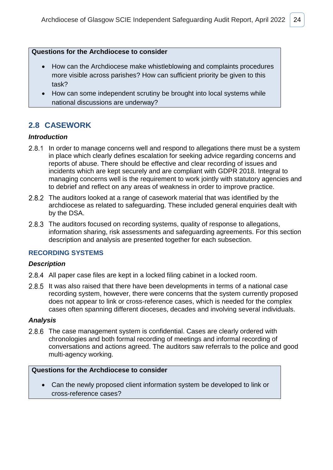#### **Questions for the Archdiocese to consider**

- How can the Archdiocese make whistleblowing and complaints procedures more visible across parishes? How can sufficient priority be given to this task?
- How can some independent scrutiny be brought into local systems while national discussions are underway?

### <span id="page-26-0"></span>**2.8 CASEWORK**

#### *Introduction*

- 2.8.1 In order to manage concerns well and respond to allegations there must be a system in place which clearly defines escalation for seeking advice regarding concerns and reports of abuse. There should be effective and clear recording of issues and incidents which are kept securely and are compliant with GDPR 2018. Integral to managing concerns well is the requirement to work jointly with statutory agencies and to debrief and reflect on any areas of weakness in order to improve practice.
- 2.8.2 The auditors looked at a range of casework material that was identified by the archdiocese as related to safeguarding. These included general enquiries dealt with by the DSA.
- 2.8.3 The auditors focused on recording systems, quality of response to allegations, information sharing, risk assessments and safeguarding agreements. For this section description and analysis are presented together for each subsection.

### **RECORDING SYSTEMS**

#### *Description*

- 2.8.4 All paper case files are kept in a locked filing cabinet in a locked room.
- 2.8.5 It was also raised that there have been developments in terms of a national case recording system, however, there were concerns that the system currently proposed does not appear to link or cross-reference cases, which is needed for the complex cases often spanning different dioceses, decades and involving several individuals.

#### *Analysis*

2.8.6 The case management system is confidential. Cases are clearly ordered with chronologies and both formal recording of meetings and informal recording of conversations and actions agreed. The auditors saw referrals to the police and good multi-agency working.

### **Questions for the Archdiocese to consider**

• Can the newly proposed client information system be developed to link or cross-reference cases?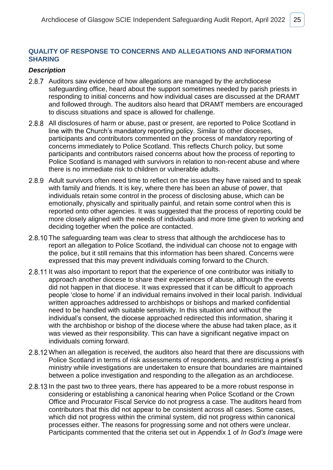### **QUALITY OF RESPONSE TO CONCERNS AND ALLEGATIONS AND INFORMATION SHARING**

### *Description*

- 2.8.7 Auditors saw evidence of how allegations are managed by the archdiocese safeguarding office, heard about the support sometimes needed by parish priests in responding to initial concerns and how individual cases are discussed at the DRAMT and followed through. The auditors also heard that DRAMT members are encouraged to discuss situations and space is allowed for challenge.
- 2.8.8 All disclosures of harm or abuse, past or present, are reported to Police Scotland in line with the Church's mandatory reporting policy. Similar to other dioceses, participants and contributors commented on the process of mandatory reporting of concerns immediately to Police Scotland. This reflects Church policy, but some participants and contributors raised concerns about how the process of reporting to Police Scotland is managed with survivors in relation to non-recent abuse and where there is no immediate risk to children or vulnerable adults.
- 2.8.9 Adult survivors often need time to reflect on the issues they have raised and to speak with family and friends. It is key, where there has been an abuse of power, that individuals retain some control in the process of disclosing abuse, which can be emotionally, physically and spiritually painful, and retain some control when this is reported onto other agencies. It was suggested that the process of reporting could be more closely aligned with the needs of individuals and more time given to working and deciding together when the police are contacted.
- 2.8.10 The safeguarding team was clear to stress that although the archdiocese has to report an allegation to Police Scotland, the individual can choose not to engage with the police, but it still remains that this information has been shared. Concerns were expressed that this may prevent individuals coming forward to the Church.
- 2.8.11 It was also important to report that the experience of one contributor was initially to approach another diocese to share their experiences of abuse, although the events did not happen in that diocese. It was expressed that it can be difficult to approach people 'close to home' if an individual remains involved in their local parish. Individual written approaches addressed to archbishops or bishops and marked confidential need to be handled with suitable sensitivity. In this situation and without the individual's consent, the diocese approached redirected this information, sharing it with the archbishop or bishop of the diocese where the abuse had taken place, as it was viewed as their responsibility. This can have a significant negative impact on individuals coming forward.
- 2.8.12 When an allegation is received, the auditors also heard that there are discussions with Police Scotland in terms of risk assessments of respondents, and restricting a priest's ministry while investigations are undertaken to ensure that boundaries are maintained between a police investigation and responding to the allegation as an archdiocese.
- 2.8.13 In the past two to three years, there has appeared to be a more robust response in considering or establishing a canonical hearing when Police Scotland or the Crown Office and Procurator Fiscal Service do not progress a case. The auditors heard from contributors that this did not appear to be consistent across all cases. Some cases, which did not progress within the criminal system, did not progress within canonical processes either. The reasons for progressing some and not others were unclear. Participants commented that the criteria set out in Appendix 1 of *In God's Image* were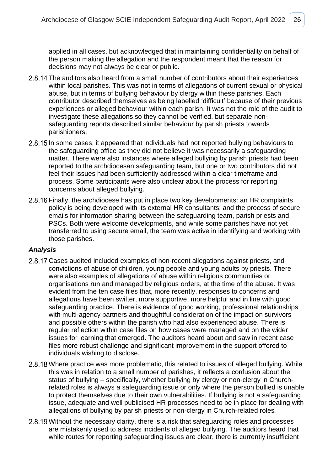applied in all cases, but acknowledged that in maintaining confidentiality on behalf of the person making the allegation and the respondent meant that the reason for decisions may not always be clear or public.

- 2.8.14 The auditors also heard from a small number of contributors about their experiences within local parishes. This was not in terms of allegations of current sexual or physical abuse, but in terms of bullying behaviour by clergy within these parishes. Each contributor described themselves as being labelled 'difficult' because of their previous experiences or alleged behaviour within each parish. It was not the role of the audit to investigate these allegations so they cannot be verified, but separate nonsafeguarding reports described similar behaviour by parish priests towards parishioners.
- 2.8.15 In some cases, it appeared that individuals had not reported bullying behaviours to the safeguarding office as they did not believe it was necessarily a safeguarding matter. There were also instances where alleged bullying by parish priests had been reported to the archdiocesan safeguarding team, but one or two contributors did not feel their issues had been sufficiently addressed within a clear timeframe and process. Some participants were also unclear about the process for reporting concerns about alleged bullying.
- 2.8.16 Finally, the archdiocese has put in place two key developments: an HR complaints policy is being developed with its external HR consultants; and the process of secure emails for information sharing between the safeguarding team, parish priests and PSCs. Both were welcome developments, and while some parishes have not yet transferred to using secure email, the team was active in identifying and working with those parishes.

- 2.8.17 Cases audited included examples of non-recent allegations against priests, and convictions of abuse of children, young people and young adults by priests. There were also examples of allegations of abuse within religious communities or organisations run and managed by religious orders, at the time of the abuse. It was evident from the ten case files that, more recently, responses to concerns and allegations have been swifter, more supportive, more helpful and in line with good safeguarding practice. There is evidence of good working, professional relationships with multi-agency partners and thoughtful consideration of the impact on survivors and possible others within the parish who had also experienced abuse. There is regular reflection within case files on how cases were managed and on the wider issues for learning that emerged. The auditors heard about and saw in recent case files more robust challenge and significant improvement in the support offered to individuals wishing to disclose.
- 2.8.18 Where practice was more problematic, this related to issues of alleged bullying. While this was in relation to a small number of parishes, it reflects a confusion about the status of bullying – specifically, whether bullying by clergy or non-clergy in Churchrelated roles is always a safeguarding issue or only where the person bullied is unable to protect themselves due to their own vulnerabilities. If bullying is not a safeguarding issue, adequate and well publicised HR processes need to be in place for dealing with allegations of bullying by parish priests or non-clergy in Church-related roles*.*
- 2.8.19 Without the necessary clarity, there is a risk that safeguarding roles and processes are mistakenly used to address incidents of alleged bullying. The auditors heard that while routes for reporting safeguarding issues are clear, there is currently insufficient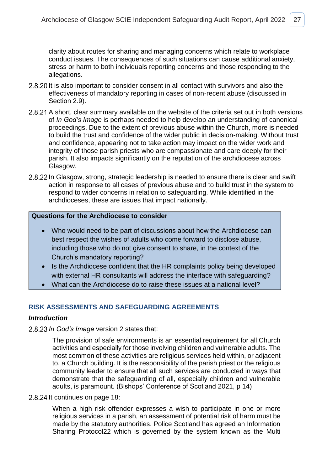clarity about routes for sharing and managing concerns which relate to workplace conduct issues. The consequences of such situations can cause additional anxiety, stress or harm to both individuals reporting concerns and those responding to the allegations.

- 2.8.20 It is also important to consider consent in all contact with survivors and also the effectiveness of mandatory reporting in cases of non-recent abuse (discussed in Section 2.9).
- 2.8.21 A short, clear summary available on the website of the criteria set out in both versions of *In God's Image* is perhaps needed to help develop an understanding of canonical proceedings. Due to the extent of previous abuse within the Church, more is needed to build the trust and confidence of the wider public in decision-making. Without trust and confidence, appearing not to take action may impact on the wider work and integrity of those parish priests who are compassionate and care deeply for their parish. It also impacts significantly on the reputation of the archdiocese across Glasgow.
- 2.8.22 In Glasgow, strong, strategic leadership is needed to ensure there is clear and swift action in response to all cases of previous abuse and to build trust in the system to respond to wider concerns in relation to safeguarding. While identified in the archdioceses, these are issues that impact nationally.

### **Questions for the Archdiocese to consider**

- Who would need to be part of discussions about how the Archdiocese can best respect the wishes of adults who come forward to disclose abuse, including those who do not give consent to share, in the context of the Church's mandatory reporting?
- Is the Archdiocese confident that the HR complaints policy being developed with external HR consultants will address the interface with safeguarding?
- What can the Archdiocese do to raise these issues at a national level?

### **RISK ASSESSMENTS AND SAFEGUARDING AGREEMENTS**

#### *Introduction*

#### *In God's Image* version 2 states that:

The provision of safe environments is an essential requirement for all Church activities and especially for those involving children and vulnerable adults. The most common of these activities are religious services held within, or adjacent to, a Church building. It is the responsibility of the parish priest or the religious community leader to ensure that all such services are conducted in ways that demonstrate that the safeguarding of all, especially children and vulnerable adults, is paramount. (Bishops' Conference of Scotland 2021, p 14)

2.8.24 It continues on page 18:

When a high risk offender expresses a wish to participate in one or more religious services in a parish, an assessment of potential risk of harm must be made by the statutory authorities. Police Scotland has agreed an Information Sharing Protocol22 which is governed by the system known as the Multi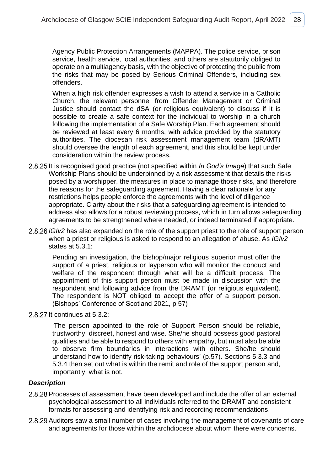Agency Public Protection Arrangements (MAPPA). The police service, prison service, health service, local authorities, and others are statutorily obliged to operate on a multiagency basis, with the objective of protecting the public from the risks that may be posed by Serious Criminal Offenders, including sex offenders.

When a high risk offender expresses a wish to attend a service in a Catholic Church, the relevant personnel from Offender Management or Criminal Justice should contact the dSA (or religious equivalent) to discuss if it is possible to create a safe context for the individual to worship in a church following the implementation of a Safe Worship Plan. Each agreement should be reviewed at least every 6 months, with advice provided by the statutory authorities. The diocesan risk assessment management team (dRAMT) should oversee the length of each agreement, and this should be kept under consideration within the review process.

- 2.8.25 It is recognised good practice (not specified within *In God's Image*) that such Safe Workship Plans should be underpinned by a risk assessment that details the risks posed by a worshipper, the measures in place to manage those risks, and therefore the reasons for the safeguarding agreement. Having a clear rationale for any restrictions helps people enforce the agreements with the level of diligence appropriate. Clarity about the risks that a safeguarding agreement is intended to address also allows for a robust reviewing process, which in turn allows safeguarding agreements to be strengthened where needed, or indeed terminated if appropriate.
- 2.8.26 IGIv2 has also expanded on the role of the support priest to the role of support person when a priest or religious is asked to respond to an allegation of abuse. As *IGIv2* states at 5.3.1:

Pending an investigation, the bishop/major religious superior must offer the support of a priest, religious or layperson who will monitor the conduct and welfare of the respondent through what will be a difficult process. The appointment of this support person must be made in discussion with the respondent and following advice from the DRAMT (or religious equivalent). The respondent is NOT obliged to accept the offer of a support person. (Bishops' Conference of Scotland 2021, p 57)

 $2.8.27$  It continues at  $5.3.2$ :

'The person appointed to the role of Support Person should be reliable, trustworthy, discreet, honest and wise. She/he should possess good pastoral qualities and be able to respond to others with empathy, but must also be able to observe firm boundaries in interactions with others. She/he should understand how to identify risk-taking behaviours' (p.57). Sections 5.3.3 and 5.3.4 then set out what is within the remit and role of the support person and, importantly, what is not.

#### *Description*

- 2.8.28 Processes of assessment have been developed and include the offer of an external psychological assessment to all individuals referred to the DRAMT and consistent formats for assessing and identifying risk and recording recommendations.
- 2.8.29 Auditors saw a small number of cases involving the management of covenants of care and agreements for those within the archdiocese about whom there were concerns.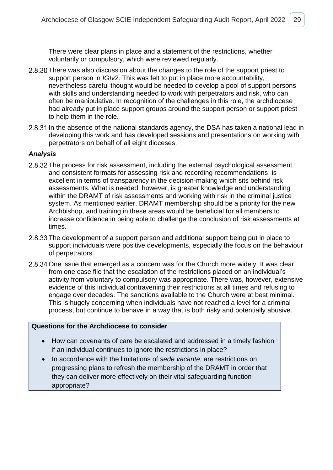There were clear plans in place and a statement of the restrictions, whether voluntarily or compulsory, which were reviewed regularly.

- 2.8.30 There was also discussion about the changes to the role of the support priest to support person in *IGIv2*. This was felt to put in place more accountability, nevertheless careful thought would be needed to develop a pool of support persons with skills and understanding needed to work with perpetrators and risk, who can often be manipulative. In recognition of the challenges in this role, the archdiocese had already put in place support groups around the support person or support priest to help them in the role.
- 2.8.31 In the absence of the national standards agency, the DSA has taken a national lead in developing this work and has developed sessions and presentations on working with perpetrators on behalf of all eight dioceses.

### *Analysis*

- 2.8.32 The process for risk assessment, including the external psychological assessment and consistent formats for assessing risk and recording recommendations, is excellent in terms of transparency in the decision-making which sits behind risk assessments. What is needed, however, is greater knowledge and understanding within the DRAMT of risk assessments and working with risk in the criminal justice system. As mentioned earlier, DRAMT membership should be a priority for the new Archbishop, and training in these areas would be beneficial for all members to increase confidence in being able to challenge the conclusion of risk assessments at times.
- 2.8.33 The development of a support person and additional support being put in place to support individuals were positive developments, especially the focus on the behaviour of perpetrators.
- 2.8.34 One issue that emerged as a concern was for the Church more widely. It was clear from one case file that the escalation of the restrictions placed on an individual's activity from voluntary to compulsory was appropriate. There was, however, extensive evidence of this individual contravening their restrictions at all times and refusing to engage over decades. The sanctions available to the Church were at best minimal. This is hugely concerning when individuals have not reached a level for a criminal process, but continue to behave in a way that is both risky and potentially abusive.

### **Questions for the Archdiocese to consider**

- How can covenants of care be escalated and addressed in a timely fashion if an individual continues to ignore the restrictions in place?
- In accordance with the limitations of *sede vacante*, are restrictions on progressing plans to refresh the membership of the DRAMT in order that they can deliver more effectively on their vital safeguarding function appropriate?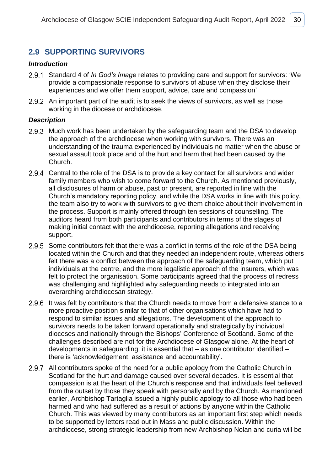### <span id="page-32-0"></span>**2.9 SUPPORTING SURVIVORS**

#### *Introduction*

- Standard 4 of *In God's Image* relates to providing care and support for survivors: 'We provide a compassionate response to survivors of abuse when they disclose their experiences and we offer them support, advice, care and compassion'
- 2.9.2 An important part of the audit is to seek the views of survivors, as well as those working in the diocese or archdiocese.

### *Description*

- 2.9.3 Much work has been undertaken by the safeguarding team and the DSA to develop the approach of the archdiocese when working with survivors. There was an understanding of the trauma experienced by individuals no matter when the abuse or sexual assault took place and of the hurt and harm that had been caused by the Church.
- 2.9.4 Central to the role of the DSA is to provide a key contact for all survivors and wider family members who wish to come forward to the Church. As mentioned previously, all disclosures of harm or abuse, past or present, are reported in line with the Church's mandatory reporting policy, and while the DSA works in line with this policy, the team also try to work with survivors to give them choice about their involvement in the process. Support is mainly offered through ten sessions of counselling. The auditors heard from both participants and contributors in terms of the stages of making initial contact with the archdiocese, reporting allegations and receiving support.
- 2.9.5 Some contributors felt that there was a conflict in terms of the role of the DSA being located within the Church and that they needed an independent route, whereas others felt there was a conflict between the approach of the safeguarding team, which put individuals at the centre, and the more legalistic approach of the insurers, which was felt to protect the organisation. Some participants agreed that the process of redress was challenging and highlighted why safeguarding needs to integrated into an overarching archdiocesan strategy.
- 2.9.6 It was felt by contributors that the Church needs to move from a defensive stance to a more proactive position similar to that of other organisations which have had to respond to similar issues and allegations. The development of the approach to survivors needs to be taken forward operationally and strategically by individual dioceses and nationally through the Bishops' Conference of Scotland. Some of the challenges described are not for the Archdiocese of Glasgow alone. At the heart of developments in safeguarding, it is essential that – as one contributor identified – there is 'acknowledgement, assistance and accountability'.
- 2.9.7 All contributors spoke of the need for a public apology from the Catholic Church in Scotland for the hurt and damage caused over several decades. It is essential that compassion is at the heart of the Church's response and that individuals feel believed from the outset by those they speak with personally and by the Church. As mentioned earlier, Archbishop Tartaglia issued a highly public apology to all those who had been harmed and who had suffered as a result of actions by anyone within the Catholic Church. This was viewed by many contributors as an important first step which needs to be supported by letters read out in Mass and public discussion. Within the archdiocese, strong strategic leadership from new Archbishop Nolan and curia will be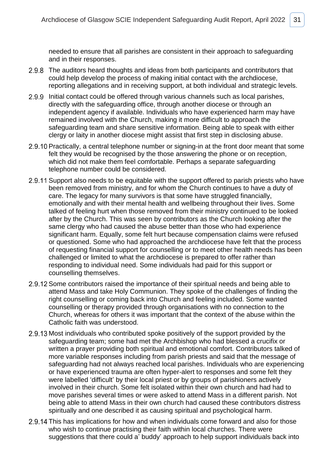needed to ensure that all parishes are consistent in their approach to safeguarding and in their responses.

- 2.9.8 The auditors heard thoughts and ideas from both participants and contributors that could help develop the process of making initial contact with the archdiocese, reporting allegations and in receiving support, at both individual and strategic levels.
- 2.9.9 Initial contact could be offered through various channels such as local parishes, directly with the safeguarding office, through another diocese or through an independent agency if available. Individuals who have experienced harm may have remained involved with the Church, making it more difficult to approach the safeguarding team and share sensitive information. Being able to speak with either clergy or laity in another diocese might assist that first step in disclosing abuse.
- 2.9.10 Practically, a central telephone number or signing-in at the front door meant that some felt they would be recognised by the those answering the phone or on reception, which did not make them feel comfortable. Perhaps a separate safeguarding telephone number could be considered.
- 2.9.11 Support also needs to be equitable with the support offered to parish priests who have been removed from ministry, and for whom the Church continues to have a duty of care. The legacy for many survivors is that some have struggled financially, emotionally and with their mental health and wellbeing throughout their lives. Some talked of feeling hurt when those removed from their ministry continued to be looked after by the Church. This was seen by contributors as the Church looking after the same clergy who had caused the abuse better than those who had experience significant harm. Equally, some felt hurt because compensation claims were refused or questioned. Some who had approached the archdiocese have felt that the process of requesting financial support for counselling or to meet other health needs has been challenged or limited to what the archdiocese is prepared to offer rather than responding to individual need. Some individuals had paid for this support or counselling themselves.
- 2.9.12 Some contributors raised the importance of their spiritual needs and being able to attend Mass and take Holy Communion. They spoke of the challenges of finding the right counselling or coming back into Church and feeling included. Some wanted counselling or therapy provided through organisations with no connection to the Church, whereas for others it was important that the context of the abuse within the Catholic faith was understood.
- 2.9.13 Most individuals who contributed spoke positively of the support provided by the safeguarding team; some had met the Archbishop who had blessed a crucifix or written a prayer providing both spiritual and emotional comfort. Contributors talked of more variable responses including from parish priests and said that the message of safeguarding had not always reached local parishes. Individuals who are experiencing or have experienced trauma are often hyper-alert to responses and some felt they were labelled 'difficult' by their local priest or by groups of parishioners actively involved in their church. Some felt isolated within their own church and had had to move parishes several times or were asked to attend Mass in a different parish. Not being able to attend Mass in their own church had caused these contributors distress spiritually and one described it as causing spiritual and psychological harm.
- 2.9.14 This has implications for how and when individuals come forward and also for those who wish to continue practising their faith within local churches. There were suggestions that there could a' buddy' approach to help support individuals back into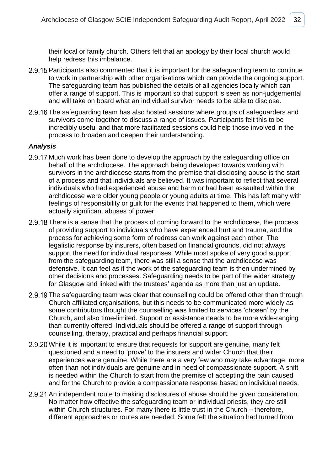their local or family church. Others felt that an apology by their local church would help redress this imbalance.

- 2.9.15 Participants also commented that it is important for the safeguarding team to continue to work in partnership with other organisations which can provide the ongoing support. The safeguarding team has published the details of all agencies locally which can offer a range of support. This is important so that support is seen as non-judgemental and will take on board what an individual survivor needs to be able to disclose.
- 2.9.16 The safeguarding team has also hosted sessions where groups of safeguarders and survivors come together to discuss a range of issues. Participants felt this to be incredibly useful and that more facilitated sessions could help those involved in the process to broaden and deepen their understanding.

- 2.9.17 Much work has been done to develop the approach by the safeguarding office on behalf of the archdiocese. The approach being developed towards working with survivors in the archdiocese starts from the premise that disclosing abuse is the start of a process and that individuals are believed. It was important to reflect that several individuals who had experienced abuse and harm or had been assaulted within the archdiocese were older young people or young adults at time. This has left many with feelings of responsibility or guilt for the events that happened to them, which were actually significant abuses of power.
- 2.9.18 There is a sense that the process of coming forward to the archdiocese, the process of providing support to individuals who have experienced hurt and trauma, and the process for achieving some form of redress can work against each other. The legalistic response by insurers, often based on financial grounds, did not always support the need for individual responses. While most spoke of very good support from the safeguarding team, there was still a sense that the archdiocese was defensive. It can feel as if the work of the safeguarding team is then undermined by other decisions and processes. Safeguarding needs to be part of the wider strategy for Glasgow and linked with the trustees' agenda as more than just an update.
- 2.9.19 The safeguarding team was clear that counselling could be offered other than through Church affiliated organisations, but this needs to be communicated more widely as some contributors thought the counselling was limited to services 'chosen' by the Church, and also time-limited. Support or assistance needs to be more wide-ranging than currently offered. Individuals should be offered a range of support through counselling, therapy, practical and perhaps financial support.
- 2.9.20 While it is important to ensure that requests for support are genuine, many felt questioned and a need to 'prove' to the insurers and wider Church that their experiences were genuine. While there are a very few who may take advantage, more often than not individuals are genuine and in need of compassionate support. A shift is needed within the Church to start from the premise of accepting the pain caused and for the Church to provide a compassionate response based on individual needs.
- 2.9.21 An independent route to making disclosures of abuse should be given consideration. No matter how effective the safeguarding team or individual priests, they are still within Church structures. For many there is little trust in the Church – therefore, different approaches or routes are needed. Some felt the situation had turned from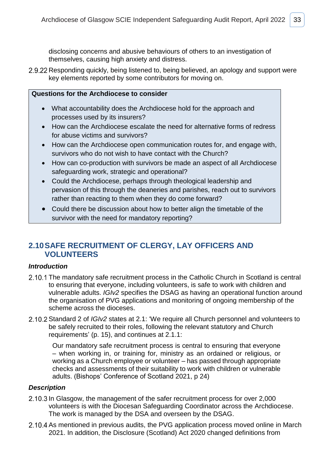disclosing concerns and abusive behaviours of others to an investigation of themselves, causing high anxiety and distress.

2.9.22 Responding quickly, being listened to, being believed, an apology and support were key elements reported by some contributors for moving on.

### **Questions for the Archdiocese to consider**

- What accountability does the Archdiocese hold for the approach and processes used by its insurers?
- How can the Archdiocese escalate the need for alternative forms of redress for abuse victims and survivors?
- How can the Archdiocese open communication routes for, and engage with, survivors who do not wish to have contact with the Church?
- How can co-production with survivors be made an aspect of all Archdiocese safeguarding work, strategic and operational?
- Could the Archdiocese, perhaps through theological leadership and pervasion of this through the deaneries and parishes, reach out to survivors rather than reacting to them when they do come forward?
- Could there be discussion about how to better align the timetable of the survivor with the need for mandatory reporting?

### <span id="page-35-0"></span>**2.10SAFE RECRUITMENT OF CLERGY, LAY OFFICERS AND VOLUNTEERS**

### *Introduction*

- 2.10.1 The mandatory safe recruitment process in the Catholic Church in Scotland is central to ensuring that everyone, including volunteers, is safe to work with children and vulnerable adults. *IGIv2* specifies the DSAG as having an operational function around the organisation of PVG applications and monitoring of ongoing membership of the scheme across the dioceses.
- 2.10.2 Standard 2 of *IGIv2* states at 2.1: 'We require all Church personnel and volunteers to be safely recruited to their roles, following the relevant statutory and Church requirements' (p. 15), and continues at 2.1.1:

Our mandatory safe recruitment process is central to ensuring that everyone – when working in, or training for, ministry as an ordained or religious, or working as a Church employee or volunteer – has passed through appropriate checks and assessments of their suitability to work with children or vulnerable adults. (Bishops' Conference of Scotland 2021, p 24)

### *Description*

- 2.10.3 In Glasgow, the management of the safer recruitment process for over 2,000 volunteers is with the Diocesan Safeguarding Coordinator across the Archdiocese. The work is managed by the DSA and overseen by the DSAG.
- 2.10.4 As mentioned in previous audits, the PVG application process moved online in March 2021. In addition, the Disclosure (Scotland) Act 2020 changed definitions from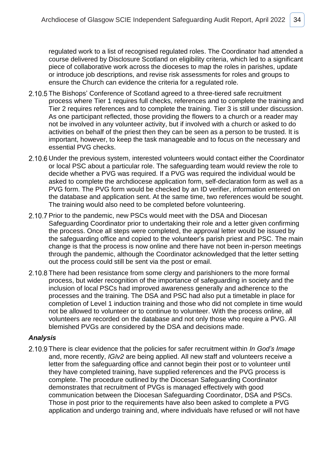regulated work to a list of recognised regulated roles. The Coordinator had attended a course delivered by Disclosure Scotland on eligibility criteria, which led to a significant piece of collaborative work across the dioceses to map the roles in parishes, update or introduce job descriptions, and revise risk assessments for roles and groups to ensure the Church can evidence the criteria for a regulated role.

- 2.10.5 The Bishops' Conference of Scotland agreed to a three-tiered safe recruitment process where Tier 1 requires full checks, references and to complete the training and Tier 2 requires references and to complete the training. Tier 3 is still under discussion. As one participant reflected, those providing the flowers to a church or a reader may not be involved in any volunteer activity, but if involved with a church or asked to do activities on behalf of the priest then they can be seen as a person to be trusted. It is important, however, to keep the task manageable and to focus on the necessary and essential PVG checks.
- 2.10.6 Under the previous system, interested volunteers would contact either the Coordinator or local PSC about a particular role. The safeguarding team would review the role to decide whether a PVG was required. If a PVG was required the individual would be asked to complete the archdiocese application form, self-declaration form as well as a PVG form. The PVG form would be checked by an ID verifier, information entered on the database and application sent. At the same time, two references would be sought. The training would also need to be completed before volunteering.
- 2.10.7 Prior to the pandemic, new PSCs would meet with the DSA and Diocesan Safeguarding Coordinator prior to undertaking their role and a letter given confirming the process. Once all steps were completed, the approval letter would be issued by the safeguarding office and copied to the volunteer's parish priest and PSC. The main change is that the process is now online and there have not been in-person meetings through the pandemic, although the Coordinator acknowledged that the letter setting out the process could still be sent via the post or email.
- 2.10.8 There had been resistance from some clergy and parishioners to the more formal process, but wider recognition of the importance of safeguarding in society and the inclusion of local PSCs had improved awareness generally and adherence to the processes and the training. The DSA and PSC had also put a timetable in place for completion of Level 1 induction training and those who did not complete in time would not be allowed to volunteer or to continue to volunteer. With the process online, all volunteers are recorded on the database and not only those who require a PVG. All blemished PVGs are considered by the DSA and decisions made.

### *Analysis*

2.10.9 There is clear evidence that the policies for safer recruitment within *In God's Image* and, more recently, *IGIv2* are being applied. All new staff and volunteers receive a letter from the safeguarding office and cannot begin their post or to volunteer until they have completed training, have supplied references and the PVG process is complete. The procedure outlined by the Diocesan Safeguarding Coordinator demonstrates that recruitment of PVGs is managed effectively with good communication between the Diocesan Safeguarding Coordinator, DSA and PSCs. Those in post prior to the requirements have also been asked to complete a PVG application and undergo training and, where individuals have refused or will not have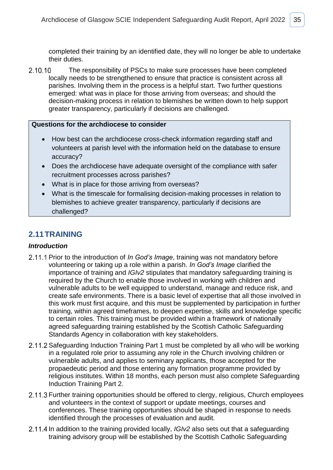completed their training by an identified date, they will no longer be able to undertake their duties.

2.10.10 The responsibility of PSCs to make sure processes have been completed locally needs to be strengthened to ensure that practice is consistent across all parishes. Involving them in the process is a helpful start. Two further questions emerged: what was in place for those arriving from overseas; and should the decision-making process in relation to blemishes be written down to help support greater transparency, particularly if decisions are challenged.

### **Questions for the archdiocese to consider**

- How best can the archdiocese cross-check information regarding staff and volunteers at parish level with the information held on the database to ensure accuracy?
- Does the archdiocese have adequate oversight of the compliance with safer recruitment processes across parishes?
- What is in place for those arriving from overseas?
- What is the timescale for formalising decision-making processes in relation to blemishes to achieve greater transparency, particularly if decisions are challenged?

### <span id="page-37-0"></span>**2.11TRAINING**

### *Introduction*

- 2.11.1 Prior to the introduction of *In God's Image*, training was not mandatory before volunteering or taking up a role within a parish. *In God's Image* clarified the importance of training and *IGIv2* stipulates that mandatory safeguarding training is required by the Church to enable those involved in working with children and vulnerable adults to be well equipped to understand, manage and reduce risk, and create safe environments. There is a basic level of expertise that all those involved in this work must first acquire, and this must be supplemented by participation in further training, within agreed timeframes, to deepen expertise, skills and knowledge specific to certain roles. This training must be provided within a framework of nationally agreed safeguarding training established by the Scottish Catholic Safeguarding Standards Agency in collaboration with key stakeholders.
- 2.11.2 Safeguarding Induction Training Part 1 must be completed by all who will be working in a regulated role prior to assuming any role in the Church involving children or vulnerable adults, and applies to seminary applicants, those accepted for the propaedeutic period and those entering any formation programme provided by religious institutes. Within 18 months, each person must also complete Safeguarding Induction Training Part 2.
- 2.11.3 Further training opportunities should be offered to clergy, religious, Church employees and volunteers in the context of support or update meetings, courses and conferences. These training opportunities should be shaped in response to needs identified through the processes of evaluation and audit.
- 2.11.4 In addition to the training provided locally, *IGIv2* also sets out that a safeguarding training advisory group will be established by the Scottish Catholic Safeguarding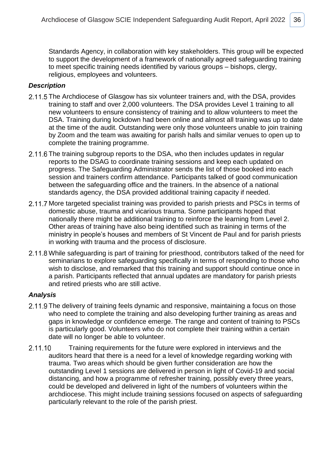Standards Agency, in collaboration with key stakeholders. This group will be expected to support the development of a framework of nationally agreed safeguarding training to meet specific training needs identified by various groups – bishops, clergy, religious, employees and volunteers.

### *Description*

- 2.11.5 The Archdiocese of Glasgow has six volunteer trainers and, with the DSA, provides training to staff and over 2,000 volunteers. The DSA provides Level 1 training to all new volunteers to ensure consistency of training and to allow volunteers to meet the DSA. Training during lockdown had been online and almost all training was up to date at the time of the audit. Outstanding were only those volunteers unable to join training by Zoom and the team was awaiting for parish halls and similar venues to open up to complete the training programme.
- 2.11.6 The training subgroup reports to the DSA, who then includes updates in regular reports to the DSAG to coordinate training sessions and keep each updated on progress. The Safeguarding Administrator sends the list of those booked into each session and trainers confirm attendance. Participants talked of good communication between the safeguarding office and the trainers. In the absence of a national standards agency, the DSA provided additional training capacity if needed.
- 2.11.7 More targeted specialist training was provided to parish priests and PSCs in terms of domestic abuse, trauma and vicarious trauma. Some participants hoped that nationally there might be additional training to reinforce the learning from Level 2. Other areas of training have also being identified such as training in terms of the ministry in people's houses and members of St Vincent de Paul and for parish priests in working with trauma and the process of disclosure.
- 2.11.8 While safeguarding is part of training for priesthood, contributors talked of the need for seminarians to explore safeguarding specifically in terms of responding to those who wish to disclose, and remarked that this training and support should continue once in a parish. Participants reflected that annual updates are mandatory for parish priests and retired priests who are still active.

- 2.11.9 The delivery of training feels dynamic and responsive, maintaining a focus on those who need to complete the training and also developing further training as areas and gaps in knowledge or confidence emerge. The range and content of training to PSCs is particularly good. Volunteers who do not complete their training within a certain date will no longer be able to volunteer.
- 2.11.10 Training requirements for the future were explored in interviews and the auditors heard that there is a need for a level of knowledge regarding working with trauma. Two areas which should be given further consideration are how the outstanding Level 1 sessions are delivered in person in light of Covid-19 and social distancing, and how a programme of refresher training, possibly every three years, could be developed and delivered in light of the numbers of volunteers within the archdiocese. This might include training sessions focused on aspects of safeguarding particularly relevant to the role of the parish priest.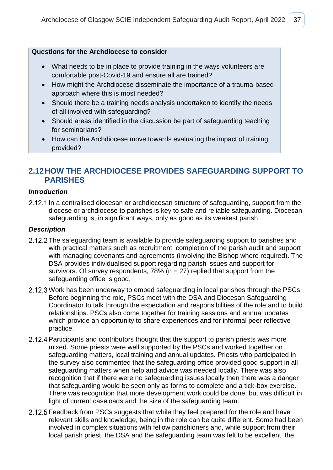### **Questions for the Archdiocese to consider**

- What needs to be in place to provide training in the ways volunteers are comfortable post-Covid-19 and ensure all are trained?
- How might the Archdiocese disseminate the importance of a trauma-based approach where this is most needed?
- Should there be a training needs analysis undertaken to identify the needs of all involved with safeguarding?
- Should areas identified in the discussion be part of safeguarding teaching for seminarians?
- How can the Archdiocese move towards evaluating the impact of training provided?

### <span id="page-39-0"></span>**2.12HOW THE ARCHDIOCESE PROVIDES SAFEGUARDING SUPPORT TO PARISHES**

### *Introduction*

2.12.1 In a centralised diocesan or archdiocesan structure of safeguarding, support from the diocese or archdiocese to parishes is key to safe and reliable safeguarding. Diocesan safeguarding is, in significant ways, only as good as its weakest parish.

### *Description*

- 2.12.2 The safeguarding team is available to provide safeguarding support to parishes and with practical matters such as recruitment, completion of the parish audit and support with managing covenants and agreements (involving the Bishop where required). The DSA provides individualised support regarding parish issues and support for survivors. Of survey respondents,  $78\%$  (n = 27) replied that support from the safeguarding office is good.
- 2.12.3 Work has been underway to embed safeguarding in local parishes through the PSCs. Before beginning the role, PSCs meet with the DSA and Diocesan Safeguarding Coordinator to talk through the expectation and responsibilities of the role and to build relationships. PSCs also come together for training sessions and annual updates which provide an opportunity to share experiences and for informal peer reflective practice.
- 2.12.4 Participants and contributors thought that the support to parish priests was more mixed. Some priests were well supported by the PSCs and worked together on safeguarding matters, local training and annual updates. Priests who participated in the survey also commented that the safeguarding office provided good support in all safeguarding matters when help and advice was needed locally. There was also recognition that if there were no safeguarding issues locally then there was a danger that safeguarding would be seen only as forms to complete and a tick-box exercise. There was recognition that more development work could be done, but was difficult in light of current caseloads and the size of the safeguarding team.
- 2.12.5 Feedback from PSCs suggests that while they feel prepared for the role and have relevant skills and knowledge, being in the role can be quite different. Some had been involved in complex situations with fellow parishioners and, while support from their local parish priest, the DSA and the safeguarding team was felt to be excellent, the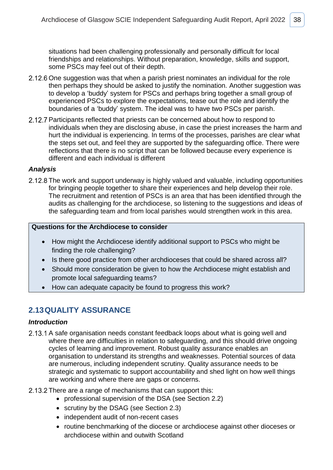situations had been challenging professionally and personally difficult for local friendships and relationships. Without preparation, knowledge, skills and support, some PSCs may feel out of their depth.

- 2.12.6 One suggestion was that when a parish priest nominates an individual for the role then perhaps they should be asked to justify the nomination. Another suggestion was to develop a 'buddy' system for PSCs and perhaps bring together a small group of experienced PSCs to explore the expectations, tease out the role and identify the boundaries of a 'buddy' system. The ideal was to have two PSCs per parish.
- 2.12.7 Participants reflected that priests can be concerned about how to respond to individuals when they are disclosing abuse, in case the priest increases the harm and hurt the individual is experiencing. In terms of the processes, parishes are clear what the steps set out, and feel they are supported by the safeguarding office. There were reflections that there is no script that can be followed because every experience is different and each individual is different

### *Analysis*

2.12.8 The work and support underway is highly valued and valuable, including opportunities for bringing people together to share their experiences and help develop their role. The recruitment and retention of PSCs is an area that has been identified through the audits as challenging for the archdiocese, so listening to the suggestions and ideas of the safeguarding team and from local parishes would strengthen work in this area.

### **Questions for the Archdiocese to consider**

- How might the Archdiocese identify additional support to PSCs who might be finding the role challenging?
- Is there good practice from other archdioceses that could be shared across all?
- Should more consideration be given to how the Archdiocese might establish and promote local safeguarding teams?
- How can adequate capacity be found to progress this work?

### <span id="page-40-0"></span>**2.13QUALITY ASSURANCE**

### *Introduction*

- 2.13.1 A safe organisation needs constant feedback loops about what is going well and where there are difficulties in relation to safeguarding, and this should drive ongoing cycles of learning and improvement. Robust quality assurance enables an organisation to understand its strengths and weaknesses. Potential sources of data are numerous, including independent scrutiny. Quality assurance needs to be strategic and systematic to support accountability and shed light on how well things are working and where there are gaps or concerns.
- 2.13.2 There are a range of mechanisms that can support this:
	- professional supervision of the DSA (see Section 2.2)
	- scrutiny by the DSAG (see Section 2.3)
	- independent audit of non-recent cases
	- routine benchmarking of the diocese or archdiocese against other dioceses or archdiocese within and outwith Scotland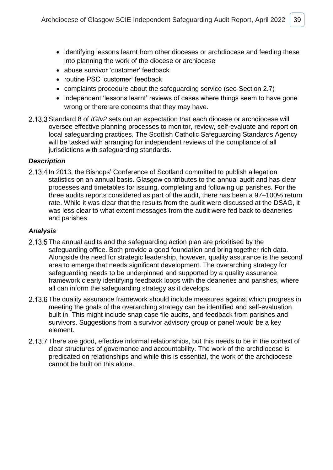- identifying lessons learnt from other dioceses or archdiocese and feeding these into planning the work of the diocese or archiocese
- abuse survivor 'customer' feedback
- routine PSC 'customer' feedback
- complaints procedure about the safeguarding service (see Section 2.7)
- independent 'lessons learnt' reviews of cases where things seem to have gone wrong or there are concerns that they may have.
- 2.13.3 Standard 8 of *IGIv2* sets out an expectation that each diocese or archdiocese will oversee effective planning processes to monitor, review, self-evaluate and report on local safeguarding practices. The Scottish Catholic Safeguarding Standards Agency will be tasked with arranging for independent reviews of the compliance of all jurisdictions with safeguarding standards.

### *Description*

2.13.4 In 2013, the Bishops' Conference of Scotland committed to publish allegation statistics on an annual basis. Glasgow contributes to the annual audit and has clear processes and timetables for issuing, completing and following up parishes. For the three audits reports considered as part of the audit, there has been a 97–100% return rate. While it was clear that the results from the audit were discussed at the DSAG, it was less clear to what extent messages from the audit were fed back to deaneries and parishes.

- 2.13.5 The annual audits and the safeguarding action plan are prioritised by the safeguarding office. Both provide a good foundation and bring together rich data. Alongside the need for strategic leadership, however, quality assurance is the second area to emerge that needs significant development. The overarching strategy for safeguarding needs to be underpinned and supported by a quality assurance framework clearly identifying feedback loops with the deaneries and parishes, where all can inform the safeguarding strategy as it develops.
- 2.13.6 The quality assurance framework should include measures against which progress in meeting the goals of the overarching strategy can be identified and self-evaluation built in. This might include snap case file audits, and feedback from parishes and survivors. Suggestions from a survivor advisory group or panel would be a key element.
- 2.13.7 There are good, effective informal relationships, but this needs to be in the context of clear structures of governance and accountability. The work of the archdiocese is predicated on relationships and while this is essential, the work of the archdiocese cannot be built on this alone.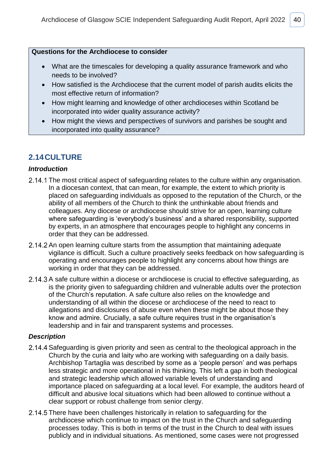### **Questions for the Archdiocese to consider**

- What are the timescales for developing a quality assurance framework and who needs to be involved?
- How satisfied is the Archdiocese that the current model of parish audits elicits the most effective return of information?
- How might learning and knowledge of other archdioceses within Scotland be incorporated into wider quality assurance activity?
- How might the views and perspectives of survivors and parishes be sought and incorporated into quality assurance?

### <span id="page-42-0"></span>**2.14CULTURE**

### *Introduction*

- 2.14.1 The most critical aspect of safeguarding relates to the culture within any organisation. In a diocesan context, that can mean, for example, the extent to which priority is placed on safeguarding individuals as opposed to the reputation of the Church, or the ability of all members of the Church to think the unthinkable about friends and colleagues. Any diocese or archdiocese should strive for an open, learning culture where safeguarding is 'everybody's business' and a shared responsibility, supported by experts, in an atmosphere that encourages people to highlight any concerns in order that they can be addressed.
- 2.14.2 An open learning culture starts from the assumption that maintaining adequate vigilance is difficult. Such a culture proactively seeks feedback on how safeguarding is operating and encourages people to highlight any concerns about how things are working in order that they can be addressed.
- 2.14.3 A safe culture within a diocese or archdiocese is crucial to effective safeguarding, as is the priority given to safeguarding children and vulnerable adults over the protection of the Church's reputation. A safe culture also relies on the knowledge and understanding of all within the diocese or archdiocese of the need to react to allegations and disclosures of abuse even when these might be about those they know and admire. Crucially, a safe culture requires trust in the organisation's leadership and in fair and transparent systems and processes.

### *Description*

- 2.14.4 Safeguarding is given priority and seen as central to the theological approach in the Church by the curia and laity who are working with safeguarding on a daily basis. Archbishop Tartaglia was described by some as a 'people person' and was perhaps less strategic and more operational in his thinking. This left a gap in both theological and strategic leadership which allowed variable levels of understanding and importance placed on safeguarding at a local level. For example, the auditors heard of difficult and abusive local situations which had been allowed to continue without a clear support or robust challenge from senior clergy.
- 2.14.5 There have been challenges historically in relation to safeguarding for the archdiocese which continue to impact on the trust in the Church and safeguarding processes today. This is both in terms of the trust in the Church to deal with issues publicly and in individual situations. As mentioned, some cases were not progressed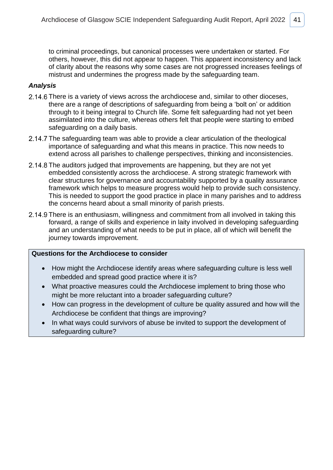to criminal proceedings, but canonical processes were undertaken or started. For others, however, this did not appear to happen. This apparent inconsistency and lack of clarity about the reasons why some cases are not progressed increases feelings of mistrust and undermines the progress made by the safeguarding team.

### *Analysis*

- 2.14.6 There is a variety of views across the archdiocese and, similar to other dioceses, there are a range of descriptions of safeguarding from being a 'bolt on' or addition through to it being integral to Church life. Some felt safeguarding had not yet been assimilated into the culture, whereas others felt that people were starting to embed safeguarding on a daily basis.
- 2.14.7 The safeguarding team was able to provide a clear articulation of the theological importance of safeguarding and what this means in practice. This now needs to extend across all parishes to challenge perspectives, thinking and inconsistencies.
- 2.14.8 The auditors judged that improvements are happening, but they are not yet embedded consistently across the archdiocese. A strong strategic framework with clear structures for governance and accountability supported by a quality assurance framework which helps to measure progress would help to provide such consistency. This is needed to support the good practice in place in many parishes and to address the concerns heard about a small minority of parish priests.
- 2.14.9 There is an enthusiasm, willingness and commitment from all involved in taking this forward, a range of skills and experience in laity involved in developing safeguarding and an understanding of what needs to be put in place, all of which will benefit the journey towards improvement.

### **Questions for the Archdiocese to consider**

- How might the Archdiocese identify areas where safeguarding culture is less well embedded and spread good practice where it is?
- What proactive measures could the Archdiocese implement to bring those who might be more reluctant into a broader safeguarding culture?
- How can progress in the development of culture be quality assured and how will the Archdiocese be confident that things are improving?
- In what ways could survivors of abuse be invited to support the development of safeguarding culture?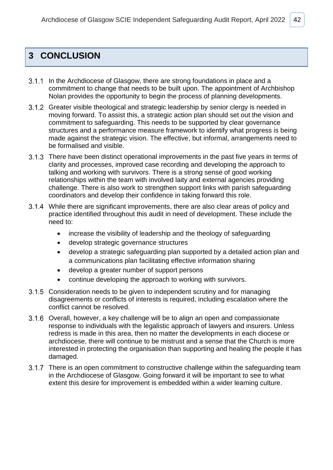# <span id="page-44-0"></span>**3 CONCLUSION**

- 3.1.1 In the Archdiocese of Glasgow, there are strong foundations in place and a commitment to change that needs to be built upon. The appointment of Archbishop Nolan provides the opportunity to begin the process of planning developments.
- 3.1.2 Greater visible theological and strategic leadership by senior clergy is needed in moving forward. To assist this, a strategic action plan should set out the vision and commitment to safeguarding. This needs to be supported by clear governance structures and a performance measure framework to identify what progress is being made against the strategic vision. The effective, but informal, arrangements need to be formalised and visible.
- 3.1.3 There have been distinct operational improvements in the past five years in terms of clarity and processes, improved case recording and developing the approach to talking and working with survivors. There is a strong sense of good working relationships within the team with involved laity and external agencies providing challenge. There is also work to strengthen support links with parish safeguarding coordinators and develop their confidence in taking forward this role.
- While there are significant improvements, there are also clear areas of policy and practice identified throughout this audit in need of development. These include the need to:
	- increase the visibility of leadership and the theology of safeguarding
	- develop strategic governance structures
	- develop a strategic safeguarding plan supported by a detailed action plan and a communications plan facilitating effective information sharing
	- develop a greater number of support persons
	- continue developing the approach to working with survivors.
- 3.1.5 Consideration needs to be given to independent scrutiny and for managing disagreements or conflicts of interests is required, including escalation where the conflict cannot be resolved.
- 3.1.6 Overall, however, a key challenge will be to align an open and compassionate response to individuals with the legalistic approach of lawyers and insurers. Unless redress is made in this area, then no matter the developments in each diocese or archdiocese, there will continue to be mistrust and a sense that the Church is more interested in protecting the organisation than supporting and healing the people it has damaged.
- 3.1.7 There is an open commitment to constructive challenge within the safeguarding team in the Archdiocese of Glasgow. Going forward it will be important to see to what extent this desire for improvement is embedded within a wider learning culture.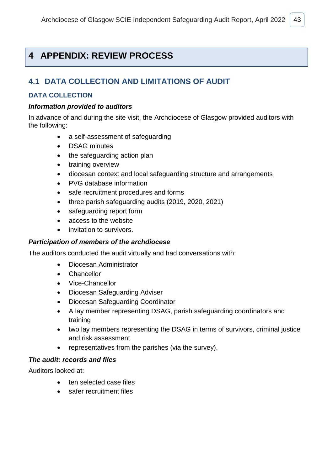# <span id="page-45-0"></span>**4 APPENDIX: REVIEW PROCESS**

### <span id="page-45-1"></span>**4.1 DATA COLLECTION AND LIMITATIONS OF AUDIT**

### **DATA COLLECTION**

### *Information provided to auditors*

In advance of and during the site visit, the Archdiocese of Glasgow provided auditors with the following:

- a self-assessment of safeguarding
- DSAG minutes
- the safeguarding action plan
- training overview
- diocesan context and local safeguarding structure and arrangements
- PVG database information
- safe recruitment procedures and forms
- three parish safeguarding audits (2019, 2020, 2021)
- safeguarding report form
- access to the website
- invitation to survivors.

### *Participation of members of the archdiocese*

The auditors conducted the audit virtually and had conversations with:

- Diocesan Administrator
- Chancellor
- Vice-Chancellor
- Diocesan Safeguarding Adviser
- Diocesan Safeguarding Coordinator
- A lay member representing DSAG, parish safeguarding coordinators and training
- two lay members representing the DSAG in terms of survivors, criminal justice and risk assessment
- representatives from the parishes (via the survey).

### *The audit: records and files*

Auditors looked at:

- ten selected case files
- safer recruitment files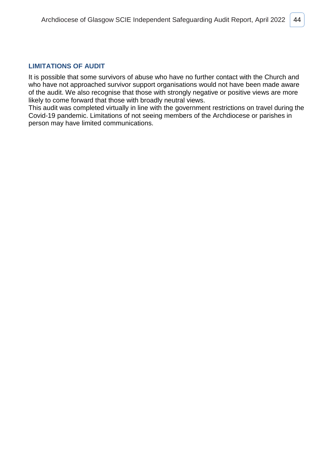### **LIMITATIONS OF AUDIT**

It is possible that some survivors of abuse who have no further contact with the Church and who have not approached survivor support organisations would not have been made aware of the audit. We also recognise that those with strongly negative or positive views are more likely to come forward that those with broadly neutral views.

This audit was completed virtually in line with the government restrictions on travel during the Covid-19 pandemic. Limitations of not seeing members of the Archdiocese or parishes in person may have limited communications.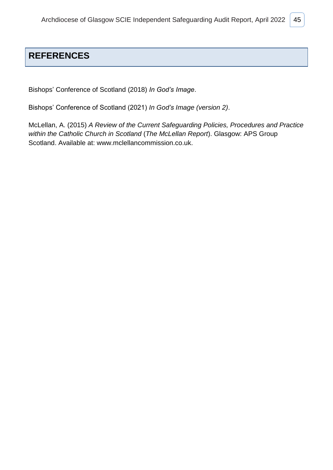# <span id="page-47-0"></span>**REFERENCES**

Bishops' Conference of Scotland (2018) *In God's Image*.

Bishops' Conference of Scotland (2021) *In God's Image (version 2)*.

McLellan, A. (2015) *A Review of the Current Safeguarding Policies, Procedures and Practice within the Catholic Church in Scotland* (*The McLellan Report*). Glasgow: APS Group Scotland. Available at: [www.mclellancommission.co.uk.](http://www.mclellancommission.co.uk/)